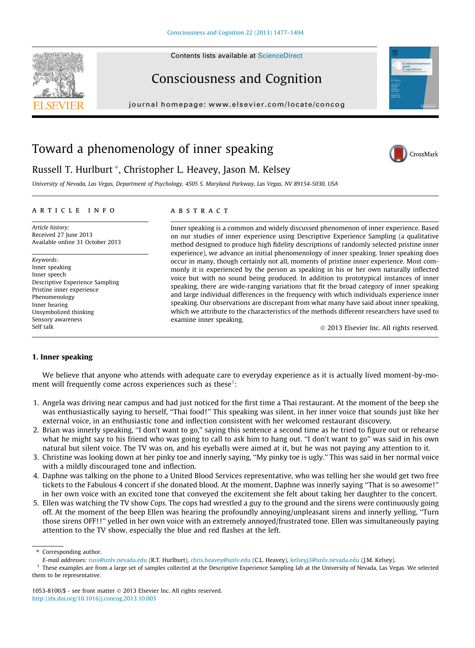Contents lists available at [ScienceDirect](http://www.sciencedirect.com/science/journal/10538100)





journal homepage: [www.elsevier.com/locate/concog](http://www.elsevier.com/locate/concog)



CrossMark

# Toward a phenomenology of inner speaking

Russell T. Hurlburt \*, Christopher L. Heavey, Jason M. Kelsey

University of Nevada, Las Vegas, Department of Psychology, 4505 S. Maryland Parkway, Las Vegas, NV 89154-5030, USA

## article info

Article history: Received 27 June 2013 Available online 31 October 2013

Keywords: Inner speaking Inner speech Descriptive Experience Sampling Pristine inner experience Phenomenology Inner hearing Unsymbolized thinking Sensory awareness Self talk

# **ABSTRACT**

Inner speaking is a common and widely discussed phenomenon of inner experience. Based on our studies of inner experience using Descriptive Experience Sampling (a qualitative method designed to produce high fidelity descriptions of randomly selected pristine inner experience), we advance an initial phenomenology of inner speaking. Inner speaking does occur in many, though certainly not all, moments of pristine inner experience. Most commonly it is experienced by the person as speaking in his or her own naturally inflected voice but with no sound being produced. In addition to prototypical instances of inner speaking, there are wide-ranging variations that fit the broad category of inner speaking and large individual differences in the frequency with which individuals experience inner speaking. Our observations are discrepant from what many have said about inner speaking, which we attribute to the characteristics of the methods different researchers have used to examine inner speaking.

- 2013 Elsevier Inc. All rights reserved.

# 1. Inner speaking

We believe that anyone who attends with adequate care to everyday experience as it is actually lived moment-by-moment will frequently come across experiences such as these $^1$ :

- 1. Angela was driving near campus and had just noticed for the first time a Thai restaurant. At the moment of the beep she was enthusiastically saying to herself, ''Thai food!'' This speaking was silent, in her inner voice that sounds just like her external voice, in an enthusiastic tone and inflection consistent with her welcomed restaurant discovery.
- 2. Brian was innerly speaking, ''I don't want to go,'' saying this sentence a second time as he tried to figure out or rehearse what he might say to his friend who was going to call to ask him to hang out. "I don't want to go" was said in his own natural but silent voice. The TV was on, and his eyeballs were aimed at it, but he was not paying any attention to it.
- 3. Christine was looking down at her pinky toe and innerly saying, ''My pinky toe is ugly.'' This was said in her normal voice with a mildly discouraged tone and inflection.
- 4. Daphne was talking on the phone to a United Blood Services representative, who was telling her she would get two free tickets to the Fabulous 4 concert if she donated blood. At the moment, Daphne was innerly saying ''That is so awesome!'' in her own voice with an excited tone that conveyed the excitement she felt about taking her daughter to the concert.
- 5. Ellen was watching the TV show Cops. The cops had wrestled a guy to the ground and the sirens were continuously going off. At the moment of the beep Ellen was hearing the profoundly annoying/unpleasant sirens and innerly yelling, ''Turn those sirens OFF!!'' yelled in her own voice with an extremely annoyed/frustrated tone. Ellen was simultaneously paying attention to the TV show, especially the blue and red flashes at the left.

<sup>⇑</sup> Corresponding author.

E-mail addresses: [russ@unlv.nevada.edu](mailto:russ@unlv.nevada.edu) (R.T. Hurlburt), [chris.heavey@unlv.edu](mailto:chris.heavey@unlv.edu) (C.L. Heavey), [kelseyj3@unlv.nevada.edu](mailto:kelseyj3@unlv.nevada.edu) (J.M. Kelsey).

<sup>&</sup>lt;sup>1</sup> These examples are from a large set of samples collected at the Descriptive Experience Sampling lab at the University of Nevada, Las Vegas. We selected them to be representative.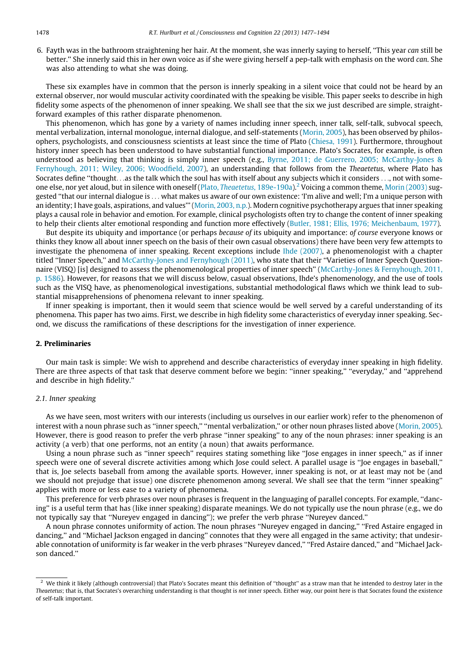6. Fayth was in the bathroom straightening her hair. At the moment, she was innerly saying to herself, ''This year can still be better.'' She innerly said this in her own voice as if she were giving herself a pep-talk with emphasis on the word can. She was also attending to what she was doing.

These six examples have in common that the person is innerly speaking in a silent voice that could not be heard by an external observer, nor would muscular activity coordinated with the speaking be visible. This paper seeks to describe in high fidelity some aspects of the phenomenon of inner speaking. We shall see that the six we just described are simple, straightforward examples of this rather disparate phenomenon.

This phenomenon, which has gone by a variety of names including inner speech, inner talk, self-talk, subvocal speech, mental verbalization, internal monologue, internal dialogue, and self-statements ([Morin, 2005](#page-17-0)), has been observed by philosophers, psychologists, and consciousness scientists at least since the time of Plato [\(Chiesa, 1991](#page-16-0)). Furthermore, throughout history inner speech has been understood to have substantial functional importance. Plato's Socrates, for example, is often understood as believing that thinking is simply inner speech (e.g., [Byrne, 2011; de Guerrero, 2005; McCarthy-Jones &](#page-16-0) [Fernyhough, 2011; Wiley, 2006; Woodfield, 2007\)](#page-16-0), an understanding that follows from the Theaetetus, where Plato has Socrates define ''thought...as the talk which the soul has with itself about any subjects which it considers ..., not with some-one else, nor yet aloud, but in silence with oneself (Plato, Theaetetus[, 189e-190a](#page-17-0)).<sup>2</sup> Voicing a common theme, [Morin \(2003\)](#page-17-0) suggested ''that our internal dialogue is ... what makes us aware of our own existence: 'I'm alive and well; I'm a unique person with an identity; I have goals, aspirations, and values''' ([Morin, 2003, n.p.\)](#page-17-0). Modern cognitive psychotherapy argues that inner speaking plays a causal role in behavior and emotion. For example, clinical psychologists often try to change the content of inner speaking to help their clients alter emotional responding and function more effectively [\(Butler, 1981; Ellis, 1976; Meichenbaum, 1977](#page-16-0)).

But despite its ubiquity and importance (or perhaps because of its ubiquity and importance: of course everyone knows or thinks they know all about inner speech on the basis of their own casual observations) there have been very few attempts to investigate the phenomena of inner speaking. Recent exceptions include [Ihde \(2007\)](#page-17-0), a phenomenologist with a chapter titled "Inner Speech," and [McCarthy-Jones and Fernyhough \(2011\)](#page-17-0), who state that their "Varieties of Inner Speech Questionnaire (VISQ) [is] designed to assess the phenomenological properties of inner speech'' ([McCarthy-Jones & Fernyhough, 2011,](#page-17-0) [p. 1586](#page-17-0)). However, for reasons that we will discuss below, casual observations, Ihde's phenomenology, and the use of tools such as the VISQ have, as phenomenological investigations, substantial methodological flaws which we think lead to substantial misapprehensions of phenomena relevant to inner speaking.

If inner speaking is important, then it would seem that science would be well served by a careful understanding of its phenomena. This paper has two aims. First, we describe in high fidelity some characteristics of everyday inner speaking. Second, we discuss the ramifications of these descriptions for the investigation of inner experience.

#### 2. Preliminaries

Our main task is simple: We wish to apprehend and describe characteristics of everyday inner speaking in high fidelity. There are three aspects of that task that deserve comment before we begin: ''inner speaking,'' ''everyday,'' and ''apprehend and describe in high fidelity.''

#### 2.1. Inner speaking

As we have seen, most writers with our interests (including us ourselves in our earlier work) refer to the phenomenon of interest with a noun phrase such as ''inner speech,'' ''mental verbalization,'' or other noun phrases listed above ([Morin, 2005](#page-17-0)). However, there is good reason to prefer the verb phrase ''inner speaking'' to any of the noun phrases: inner speaking is an activity (a verb) that one performs, not an entity (a noun) that awaits performance.

Using a noun phrase such as ''inner speech'' requires stating something like ''Jose engages in inner speech,'' as if inner speech were one of several discrete activities among which Jose could select. A parallel usage is ''Joe engages in baseball,'' that is, Joe selects baseball from among the available sports. However, inner speaking is not, or at least may not be (and we should not prejudge that issue) one discrete phenomenon among several. We shall see that the term ''inner speaking'' applies with more or less ease to a variety of phenomena.

This preference for verb phrases over noun phrases is frequent in the languaging of parallel concepts. For example, ''dancing'' is a useful term that has (like inner speaking) disparate meanings. We do not typically use the noun phrase (e.g., we do not typically say that ''Nureyev engaged in dancing''); we prefer the verb phrase ''Nureyev danced.''

A noun phrase connotes uniformity of action. The noun phrases ''Nureyev engaged in dancing,'' ''Fred Astaire engaged in dancing,'' and ''Michael Jackson engaged in dancing'' connotes that they were all engaged in the same activity; that undesirable connotation of uniformity is far weaker in the verb phrases ''Nureyev danced,'' ''Fred Astaire danced,'' and ''Michael Jackson danced.''

 $<sup>2</sup>$  We think it likely (although controversial) that Plato's Socrates meant this definition of "thought" as a straw man that he intended to destroy later in the</sup> Theaetetus; that is, that Socrates's overarching understanding is that thought is not inner speech. Either way, our point here is that Socrates found the existence of self-talk important.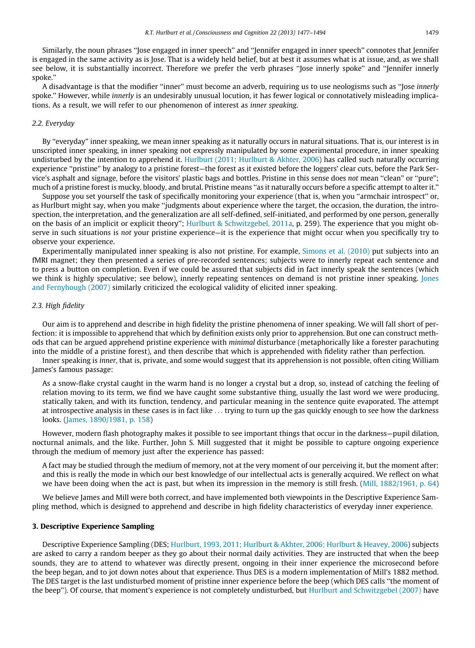Similarly, the noun phrases ''Jose engaged in inner speech'' and ''Jennifer engaged in inner speech'' connotes that Jennifer is engaged in the same activity as is Jose. That is a widely held belief, but at best it assumes what is at issue, and, as we shall see below, it is substantially incorrect. Therefore we prefer the verb phrases ''Jose innerly spoke'' and ''Jennifer innerly spoke.''

A disadvantage is that the modifier ''inner'' must become an adverb, requiring us to use neologisms such as ''Jose innerly spoke." However, while *innerly* is an undesirably unusual locution, it has fewer logical or connotatively misleading implications. As a result, we will refer to our phenomenon of interest as inner speaking.

#### 2.2. Everyday

By ''everyday'' inner speaking, we mean inner speaking as it naturally occurs in natural situations. That is, our interest is in unscripted inner speaking, in inner speaking not expressly manipulated by some experimental procedure, in inner speaking undisturbed by the intention to apprehend it. [Hurlburt \(2011; Hurlburt & Akhter, 2006\)](#page-16-0) has called such naturally occurring experience ''pristine'' by analogy to a pristine forest—the forest as it existed before the loggers' clear cuts, before the Park Service's asphalt and signage, before the visitors' plastic bags and bottles. Pristine in this sense does not mean ''clean'' or ''pure''; much of a pristine forest is mucky, bloody, and brutal. Pristine means ''as it naturally occurs before a specific attempt to alter it.''

Suppose you set yourself the task of specifically monitoring your experience (that is, when you ''armchair introspect'' or, as Hurlburt might say, when you make ''judgments about experience where the target, the occasion, the duration, the introspection, the interpretation, and the generalization are all self-defined, self-initiated, and performed by one person, generally on the basis of an implicit or explicit theory''; [Hurlburt & Schwitzgebel, 2011a](#page-17-0), p. 259). The experience that you might observe in such situations is not your pristine experience—it is the experience that might occur when you specifically try to observe your experience.

Experimentally manipulated inner speaking is also not pristine. For example, [Simons et al. \(2010\)](#page-17-0) put subjects into an fMRI magnet; they then presented a series of pre-recorded sentences; subjects were to innerly repeat each sentence and to press a button on completion. Even if we could be assured that subjects did in fact innerly speak the sentences (which we think is highly speculative; see below), innerly repeating sentences on demand is not pristine inner speaking. [Jones](#page-17-0) [and Fernyhough \(2007\)](#page-17-0) similarly criticized the ecological validity of elicited inner speaking.

#### 2.3. High fidelity

Our aim is to apprehend and describe in high fidelity the pristine phenomena of inner speaking. We will fall short of perfection: it is impossible to apprehend that which by definition exists only prior to apprehension. But one can construct methods that can be argued apprehend pristine experience with minimal disturbance (metaphorically like a forester parachuting into the middle of a pristine forest), and then describe that which is apprehended with fidelity rather than perfection.

Inner speaking is inner, that is, private, and some would suggest that its apprehension is not possible, often citing William James's famous passage:

As a snow-flake crystal caught in the warm hand is no longer a crystal but a drop, so, instead of catching the feeling of relation moving to its term, we find we have caught some substantive thing, usually the last word we were producing, statically taken, and with its function, tendency, and particular meaning in the sentence quite evaporated. The attempt at introspective analysis in these cases is in fact like ... trying to turn up the gas quickly enough to see how the darkness looks. [\(James, 1890/1981, p. 158](#page-17-0))

However, modern flash photography makes it possible to see important things that occur in the darkness—pupil dilation, nocturnal animals, and the like. Further, John S. Mill suggested that it might be possible to capture ongoing experience through the medium of memory just after the experience has passed:

A fact may be studied through the medium of memory, not at the very moment of our perceiving it, but the moment after: and this is really the mode in which our best knowledge of our intellectual acts is generally acquired. We reflect on what we have been doing when the act is past, but when its impression in the memory is still fresh. [\(Mill, 1882/1961, p. 64](#page-17-0))

We believe James and Mill were both correct, and have implemented both viewpoints in the Descriptive Experience Sampling method, which is designed to apprehend and describe in high fidelity characteristics of everyday inner experience.

#### 3. Descriptive Experience Sampling

Descriptive Experience Sampling (DES; [Hurlburt, 1993, 2011; Hurlburt & Akhter, 2006; Hurlburt & Heavey, 2006](#page-16-0)) subjects are asked to carry a random beeper as they go about their normal daily activities. They are instructed that when the beep sounds, they are to attend to whatever was directly present, ongoing in their inner experience the microsecond before the beep began, and to jot down notes about that experience. Thus DES is a modern implementation of Mill's 1882 method. The DES target is the last undisturbed moment of pristine inner experience before the beep (which DES calls ''the moment of the beep''). Of course, that moment's experience is not completely undisturbed, but [Hurlburt and Schwitzgebel \(2007\)](#page-17-0) have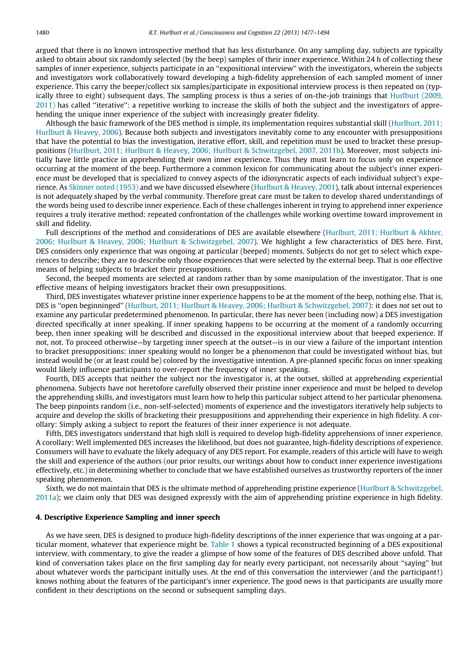argued that there is no known introspective method that has less disturbance. On any sampling day, subjects are typically asked to obtain about six randomly selected (by the beep) samples of their inner experience. Within 24 h of collecting these samples of inner experience, subjects participate in an ''expositional interview'' with the investigators, wherein the subjects and investigators work collaboratively toward developing a high-fidelity apprehension of each sampled moment of inner experience. This carry the beeper/collect six samples/participate in expositional interview process is then repeated on (typically three to eight) subsequent days. The sampling process is thus a series of on-the-job trainings that [Hurlburt \(2009,](#page-16-0) [2011\)](#page-16-0) has called ''iterative'': a repetitive working to increase the skills of both the subject and the investigators of apprehending the unique inner experience of the subject with increasingly greater fidelity.

Although the basic framework of the DES method is simple, its implementation requires substantial skill ([Hurlburt, 2011;](#page-16-0) [Hurlburt & Heavey, 2006](#page-16-0)). Because both subjects and investigators inevitably come to any encounter with presuppositions that have the potential to bias the investigation, iterative effort, skill, and repetition must be used to bracket these presuppositions [\(Hurlburt, 2011; Hurlburt & Heavey, 2006; Hurlburt & Schwitzgebel, 2007, 2011b](#page-16-0)). Moreover, most subjects initially have little practice in apprehending their own inner experience. Thus they must learn to focus only on experience occurring at the moment of the beep. Furthermore a common lexicon for communicating about the subject's inner experience must be developed that is specialized to convey aspects of the idiosyncratic aspects of each individual subject's experience. As [Skinner noted \(1953\)](#page-17-0) and we have discussed elsewhere [\(Hurlburt & Heavey, 2001](#page-16-0)), talk about internal experiences is not adequately shaped by the verbal community. Therefore great care must be taken to develop shared understandings of the words being used to describe inner experience. Each of these challenges inherent in trying to apprehend inner experience requires a truly iterative method: repeated confrontation of the challenges while working overtime toward improvement in skill and fidelity.

Full descriptions of the method and considerations of DES are available elsewhere [\(Hurlburt, 2011; Hurlburt & Akhter,](#page-16-0) [2006; Hurlburt & Heavey, 2006; Hurlburt & Schwitzgebel, 2007](#page-16-0)). We highlight a few characteristics of DES here. First, DES considers only experience that was ongoing at particular (beeped) moments. Subjects do not get to select which experiences to describe; they are to describe only those experiences that were selected by the external beep. That is one effective means of helping subjects to bracket their presuppositions.

Second, the beeped moments are selected at random rather than by some manipulation of the investigator. That is one effective means of helping investigators bracket their own presuppositions.

Third, DES investigates whatever pristine inner experience happens to be at the moment of the beep, nothing else. That is, DES is ''open beginninged'' ([Hurlburt, 2011; Hurlburt & Heavey, 2006; Hurlburt & Schwitzgebel, 2007](#page-16-0)): it does not set out to examine any particular predetermined phenomenon. In particular, there has never been (including now) a DES investigation directed specifically at inner speaking. If inner speaking happens to be occurring at the moment of a randomly occurring beep, then inner speaking will be described and discussed in the expositional interview about that beeped experience. If not, not. To proceed otherwise—by targeting inner speech at the outset—is in our view a failure of the important intention to bracket presuppositions: inner speaking would no longer be a phenomenon that could be investigated without bias, but instead would be (or at least could be) colored by the investigative intention. A pre-planned specific focus on inner speaking would likely influence participants to over-report the frequency of inner speaking.

Fourth, DES accepts that neither the subject nor the investigator is, at the outset, skilled at apprehending experiential phenomena. Subjects have not heretofore carefully observed their pristine inner experience and must be helped to develop the apprehending skills, and investigators must learn how to help this particular subject attend to her particular phenomena. The beep pinpoints random (i.e., non-self-selected) moments of experience and the investigators iteratively help subjects to acquire and develop the skills of bracketing their presuppositions and apprehending their experience in high fidelity. A corollary: Simply asking a subject to report the features of their inner experience is not adequate.

Fifth, DES investigators understand that high skill is required to develop high-fidelity apprehensions of inner experience. A corollary: Well implemented DES increases the likelihood, but does not guarantee, high-fidelity descriptions of experience. Consumers will have to evaluate the likely adequacy of any DES report. For example, readers of this article will have to weigh the skill and experience of the authors (our prior results, our writings about how to conduct inner experience investigations effectively, etc.) in determining whether to conclude that we have established ourselves as trustworthy reporters of the inner speaking phenomenon.

Sixth, we do not maintain that DES is the ultimate method of apprehending pristine experience [\(Hurlburt & Schwitzgebel,](#page-17-0) [2011a](#page-17-0)); we claim only that DES was designed expressly with the aim of apprehending pristine experience in high fidelity.

#### 4. Descriptive Experience Sampling and inner speech

As we have seen, DES is designed to produce high-fidelity descriptions of the inner experience that was ongoing at a particular moment, whatever that experience might be. [Table 1](#page-4-0) shows a typical reconstructed beginning of a DES expositional interview, with commentary, to give the reader a glimpse of how some of the features of DES described above unfold. That kind of conversation takes place on the first sampling day for nearly every participant, not necessarily about ''saying'' but about whatever words the participant initially uses. At the end of this conversation the interviewer (and the participant!) knows nothing about the features of the participant's inner experience. The good news is that participants are usually more confident in their descriptions on the second or subsequent sampling days.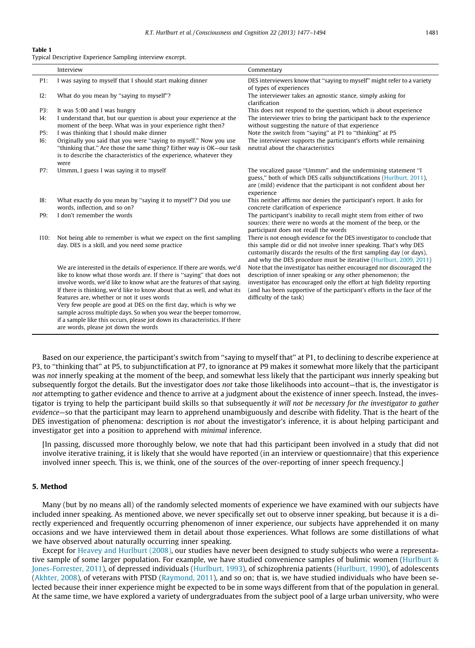#### <span id="page-4-0"></span>Table 1

Typical Descriptive Experience Sampling interview excerpt.

|      | Interview                                                                                                                                         | Commentary                                                                                                                                                                                                 |
|------|---------------------------------------------------------------------------------------------------------------------------------------------------|------------------------------------------------------------------------------------------------------------------------------------------------------------------------------------------------------------|
| P1:  | I was saying to myself that I should start making dinner                                                                                          | DES interviewers know that "saying to myself" might refer to a variety<br>of types of experiences                                                                                                          |
| I2:  | What do you mean by "saying to myself"?                                                                                                           | The interviewer takes an agnostic stance, simply asking for<br>clarification                                                                                                                               |
| P3:  | It was 5:00 and I was hungry                                                                                                                      | This does not respond to the question, which is about experience                                                                                                                                           |
| I4:  | I understand that, but our question is about your experience at the<br>moment of the beep. What was in your experience right then?                | The interviewer tries to bring the participant back to the experience<br>without suggesting the nature of that experience                                                                                  |
| P5:  | I was thinking that I should make dinner                                                                                                          | Note the switch from "saying" at P1 to "thinking" at P5                                                                                                                                                    |
| I6:  | Originally you said that you were "saying to myself." Now you use                                                                                 | The interviewer supports the participant's efforts while remaining                                                                                                                                         |
|      | "thinking that." Are those the same thing? Either way is OK-our task                                                                              | neutral about the characteristics                                                                                                                                                                          |
|      | is to describe the characteristics of the experience, whatever they                                                                               |                                                                                                                                                                                                            |
|      | were                                                                                                                                              |                                                                                                                                                                                                            |
| P7:  | Ummm, I guess I was saying it to myself                                                                                                           | The vocalized pause "Ummm" and the undermining statement "I<br>guess," both of which DES calls subjunctifications (Hurlburt, 2011),<br>are (mild) evidence that the participant is not confident about her |
|      |                                                                                                                                                   | experience                                                                                                                                                                                                 |
| I8:  | What exactly do you mean by "saying it to myself"? Did you use                                                                                    | This neither affirms nor denies the participant's report. It asks for                                                                                                                                      |
|      | words, inflection, and so on?                                                                                                                     | concrete clarification of experience                                                                                                                                                                       |
| P9:  | I don't remember the words                                                                                                                        | The participant's inability to recall might stem from either of two<br>sources: there were no words at the moment of the beep, or the                                                                      |
|      |                                                                                                                                                   | participant does not recall the words                                                                                                                                                                      |
| 110: | Not being able to remember is what we expect on the first sampling                                                                                | There is not enough evidence for the DES investigator to conclude that<br>this sample did or did not involve inner speaking. That's why DES                                                                |
|      | day. DES is a skill, and you need some practice                                                                                                   | customarily discards the results of the first sampling day (or days).                                                                                                                                      |
|      |                                                                                                                                                   | and why the DES procedure must be iterative (Hurlburt, 2009, 2011)                                                                                                                                         |
|      | We are interested in the details of experience. If there are words, we'd<br>like to know what those words are. If there is "saying" that does not | Note that the investigator has neither encouraged nor discouraged the<br>description of inner speaking or any other phenomenon; the                                                                        |
|      | involve words, we'd like to know what are the features of that saying.                                                                            | investigator has encouraged only the effort at high fidelity reporting                                                                                                                                     |
|      | If there is thinking, we'd like to know about that as well, and what its                                                                          | (and has been supportive of the participant's efforts in the face of the                                                                                                                                   |
|      | features are, whether or not it uses words                                                                                                        | difficulty of the task)                                                                                                                                                                                    |
|      | Very few people are good at DES on the first day, which is why we                                                                                 |                                                                                                                                                                                                            |
|      | sample across multiple days. So when you wear the beeper tomorrow,                                                                                |                                                                                                                                                                                                            |
|      | if a sample like this occurs, please jot down its characteristics. If there                                                                       |                                                                                                                                                                                                            |
|      | are words, please jot down the words                                                                                                              |                                                                                                                                                                                                            |

Based on our experience, the participant's switch from ''saying to myself that'' at P1, to declining to describe experience at P3, to ''thinking that'' at P5, to subjunctification at P7, to ignorance at P9 makes it somewhat more likely that the participant was not innerly speaking at the moment of the beep, and somewhat less likely that the participant was innerly speaking but subsequently forgot the details. But the investigator does not take those likelihoods into account—that is, the investigator is not attempting to gather evidence and thence to arrive at a judgment about the existence of inner speech. Instead, the investigator is trying to help the participant build skills so that subsequently it will not be necessary for the investigator to gather evidence—so that the participant may learn to apprehend unambiguously and describe with fidelity. That is the heart of the DES investigation of phenomena: description is not about the investigator's inference, it is about helping participant and investigator get into a position to apprehend with minimal inference.

[In passing, discussed more thoroughly below, we note that had this participant been involved in a study that did not involve iterative training, it is likely that she would have reported (in an interview or questionnaire) that this experience involved inner speech. This is, we think, one of the sources of the over-reporting of inner speech frequency.]

## 5. Method

Many (but by no means all) of the randomly selected moments of experience we have examined with our subjects have included inner speaking. As mentioned above, we never specifically set out to observe inner speaking, but because it is a directly experienced and frequently occurring phenomenon of inner experience, our subjects have apprehended it on many occasions and we have interviewed them in detail about those experiences. What follows are some distillations of what we have observed about naturally occurring inner speaking.

Except for [Heavey and Hurlburt \(2008\)](#page-16-0), our studies have never been designed to study subjects who were a representative sample of some larger population. For example, we have studied convenience samples of bulimic women ([Hurlburt &](#page-17-0) [Jones-Forrester, 2011](#page-17-0)), of depressed individuals ([Hurlburt, 1993](#page-16-0)), of schizophrenia patients [\(Hurlburt, 1990](#page-16-0)), of adolescents ([Akhter, 2008\)](#page-16-0), of veterans with PTSD [\(Raymond, 2011\)](#page-17-0), and so on; that is, we have studied individuals who have been selected because their inner experience might be expected to be in some ways different from that of the population in general. At the same time, we have explored a variety of undergraduates from the subject pool of a large urban university, who were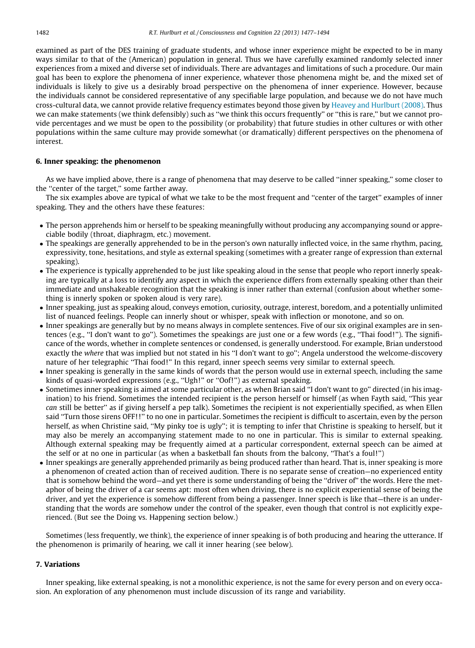examined as part of the DES training of graduate students, and whose inner experience might be expected to be in many ways similar to that of the (American) population in general. Thus we have carefully examined randomly selected inner experiences from a mixed and diverse set of individuals. There are advantages and limitations of such a procedure. Our main goal has been to explore the phenomena of inner experience, whatever those phenomena might be, and the mixed set of individuals is likely to give us a desirably broad perspective on the phenomena of inner experience. However, because the individuals cannot be considered representative of any specifiable large population, and because we do not have much cross-cultural data, we cannot provide relative frequency estimates beyond those given by [Heavey and Hurlburt \(2008\)](#page-16-0). Thus we can make statements (we think defensibly) such as ''we think this occurs frequently'' or ''this is rare,'' but we cannot provide percentages and we must be open to the possibility (or probability) that future studies in other cultures or with other populations within the same culture may provide somewhat (or dramatically) different perspectives on the phenomena of interest.

## 6. Inner speaking: the phenomenon

As we have implied above, there is a range of phenomena that may deserve to be called ''inner speaking,'' some closer to the ''center of the target,'' some farther away.

The six examples above are typical of what we take to be the most frequent and ''center of the target'' examples of inner speaking. They and the others have these features:

- The person apprehends him or herself to be speaking meaningfully without producing any accompanying sound or appreciable bodily (throat, diaphragm, etc.) movement.
- The speakings are generally apprehended to be in the person's own naturally inflected voice, in the same rhythm, pacing, expressivity, tone, hesitations, and style as external speaking (sometimes with a greater range of expression than external speaking).
- The experience is typically apprehended to be just like speaking aloud in the sense that people who report innerly speaking are typically at a loss to identify any aspect in which the experience differs from externally speaking other than their immediate and unshakeable recognition that the speaking is inner rather than external (confusion about whether something is innerly spoken or spoken aloud is very rare).
- Inner speaking, just as speaking aloud, conveys emotion, curiosity, outrage, interest, boredom, and a potentially unlimited list of nuanced feelings. People can innerly shout or whisper, speak with inflection or monotone, and so on.
- Inner speakings are generally but by no means always in complete sentences. Five of our six original examples are in sentences (e.g., ''I don't want to go''). Sometimes the speakings are just one or a few words (e.g., ''Thai food!''). The significance of the words, whether in complete sentences or condensed, is generally understood. For example, Brian understood exactly the where that was implied but not stated in his "I don't want to go"; Angela understood the welcome-discovery nature of her telegraphic ''Thai food!'' In this regard, inner speech seems very similar to external speech.
- Inner speaking is generally in the same kinds of words that the person would use in external speech, including the same kinds of quasi-worded expressions (e.g., ''Ugh!'' or ''Oof!'') as external speaking.
- Sometimes inner speaking is aimed at some particular other, as when Brian said ''I don't want to go'' directed (in his imagination) to his friend. Sometimes the intended recipient is the person herself or himself (as when Fayth said, ''This year can still be better'' as if giving herself a pep talk). Sometimes the recipient is not experientially specified, as when Ellen said ''Turn those sirens OFF!!'' to no one in particular. Sometimes the recipient is difficult to ascertain, even by the person herself, as when Christine said, ''My pinky toe is ugly''; it is tempting to infer that Christine is speaking to herself, but it may also be merely an accompanying statement made to no one in particular. This is similar to external speaking. Although external speaking may be frequently aimed at a particular correspondent, external speech can be aimed at the self or at no one in particular (as when a basketball fan shouts from the balcony, ''That's a foul!'')
- Inner speakings are generally apprehended primarily as being produced rather than heard. That is, inner speaking is more a phenomenon of created action than of received audition. There is no separate sense of creation—no experienced entity that is somehow behind the word—and yet there is some understanding of being the ''driver of'' the words. Here the metaphor of being the driver of a car seems apt: most often when driving, there is no explicit experiential sense of being the driver, and yet the experience is somehow different from being a passenger. Inner speech is like that—there is an understanding that the words are somehow under the control of the speaker, even though that control is not explicitly experienced. (But see the Doing vs. Happening section below.)

Sometimes (less frequently, we think), the experience of inner speaking is of both producing and hearing the utterance. If the phenomenon is primarily of hearing, we call it inner hearing (see below).

## 7. Variations

Inner speaking, like external speaking, is not a monolithic experience, is not the same for every person and on every occasion. An exploration of any phenomenon must include discussion of its range and variability.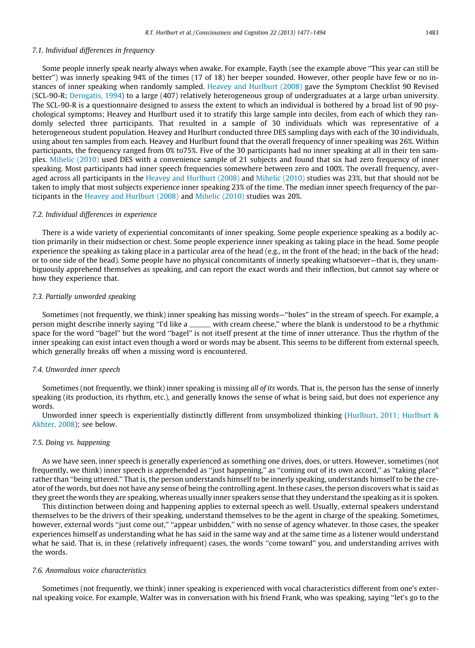## 7.1. Individual differences in frequency

Some people innerly speak nearly always when awake. For example, Fayth (see the example above ''This year can still be better'') was innerly speaking 94% of the times (17 of 18) her beeper sounded. However, other people have few or no instances of inner speaking when randomly sampled. [Heavey and Hurlburt \(2008\)](#page-16-0) gave the Symptom Checklist 90 Revised (SCL-90-R; [Derogatis, 1994](#page-16-0)) to a large (407) relatively heterogeneous group of undergraduates at a large urban university. The SCL-90-R is a questionnaire designed to assess the extent to which an individual is bothered by a broad list of 90 psychological symptoms; Heavey and Hurlburt used it to stratify this large sample into deciles, from each of which they randomly selected three participants. That resulted in a sample of 30 individuals which was representative of a heterogeneous student population. Heavey and Hurlburt conducted three DES sampling days with each of the 30 individuals, using about ten samples from each. Heavey and Hurlburt found that the overall frequency of inner speaking was 26%. Within participants, the frequency ranged from 0% to75%. Five of the 30 participants had no inner speaking at all in their ten samples. [Mihelic \(2010\)](#page-17-0) used DES with a convenience sample of 21 subjects and found that six had zero frequency of inner speaking. Most participants had inner speech frequencies somewhere between zero and 100%. The overall frequency, averaged across all participants in the [Heavey and Hurlburt \(2008\)](#page-16-0) and [Mihelic \(2010\)](#page-17-0) studies was 23%, but that should not be taken to imply that most subjects experience inner speaking 23% of the time. The median inner speech frequency of the participants in the [Heavey and Hurlburt \(2008\)](#page-16-0) and [Mihelic \(2010\)](#page-17-0) studies was 20%.

# 7.2. Individual differences in experience

There is a wide variety of experiential concomitants of inner speaking. Some people experience speaking as a bodily action primarily in their midsection or chest. Some people experience inner speaking as taking place in the head. Some people experience the speaking as taking place in a particular area of the head (e.g., in the front of the head; in the back of the head; or to one side of the head). Some people have no physical concomitants of innerly speaking whatsoever—that is, they unambiguously apprehend themselves as speaking, and can report the exact words and their inflection, but cannot say where or how they experience that.

## 7.3. Partially unworded speaking

Sometimes (not frequently, we think) inner speaking has missing words—''holes'' in the stream of speech. For example, a person might describe innerly saying ''I'd like a \_\_\_\_\_\_ with cream cheese,'' where the blank is understood to be a rhythmic space for the word ''bagel'' but the word ''bagel'' is not itself present at the time of inner utterance. Thus the rhythm of the inner speaking can exist intact even though a word or words may be absent. This seems to be different from external speech, which generally breaks off when a missing word is encountered.

# 7.4. Unworded inner speech

Sometimes (not frequently, we think) inner speaking is missing all of its words. That is, the person has the sense of innerly speaking (its production, its rhythm, etc.), and generally knows the sense of what is being said, but does not experience any words.

Unworded inner speech is experientially distinctly different from unsymbolized thinking [\(Hurlburt, 2011; Hurlburt &](#page-16-0) [Akhter, 2008\)](#page-16-0); see below.

#### 7.5. Doing vs. happening

As we have seen, inner speech is generally experienced as something one drives, does, or utters. However, sometimes (not frequently, we think) inner speech is apprehended as ''just happening,'' as ''coming out of its own accord,'' as ''taking place'' rather than ''being uttered.'' That is, the person understands himself to be innerly speaking, understands himself to be the creator of the words, but does not have any sense of being the controlling agent. In these cases, the person discovers what is said as they greet the words they are speaking, whereas usually inner speakers sense that they understand the speaking as it is spoken.

This distinction between doing and happening applies to external speech as well. Usually, external speakers understand themselves to be the drivers of their speaking, understand themselves to be the agent in charge of the speaking. Sometimes, however, external words "just come out," "appear unbidden," with no sense of agency whatever. In those cases, the speaker experiences himself as understanding what he has said in the same way and at the same time as a listener would understand what he said. That is, in these (relatively infrequent) cases, the words ''come toward'' you, and understanding arrives with the words.

#### 7.6. Anomalous voice characteristics

Sometimes (not frequently, we think) inner speaking is experienced with vocal characteristics different from one's external speaking voice. For example, Walter was in conversation with his friend Frank, who was speaking, saying ''let's go to the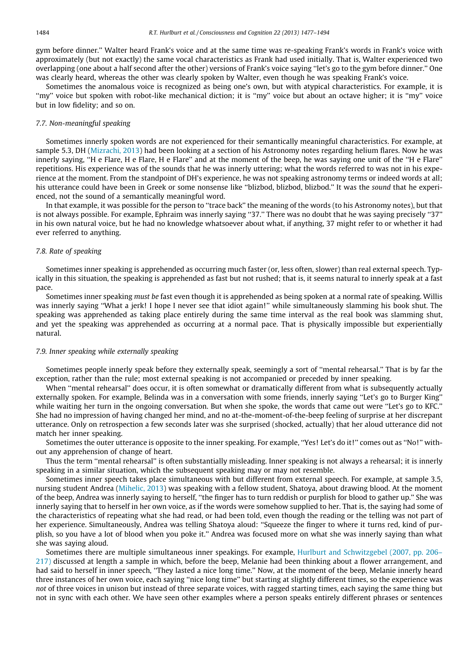gym before dinner.'' Walter heard Frank's voice and at the same time was re-speaking Frank's words in Frank's voice with approximately (but not exactly) the same vocal characteristics as Frank had used initially. That is, Walter experienced two overlapping (one about a half second after the other) versions of Frank's voice saying ''let's go to the gym before dinner.'' One was clearly heard, whereas the other was clearly spoken by Walter, even though he was speaking Frank's voice.

Sometimes the anomalous voice is recognized as being one's own, but with atypical characteristics. For example, it is ''my'' voice but spoken with robot-like mechanical diction; it is ''my'' voice but about an octave higher; it is ''my'' voice but in low fidelity; and so on.

## 7.7. Non-meaningful speaking

Sometimes innerly spoken words are not experienced for their semantically meaningful characteristics. For example, at sample 5.3, DH ([Mizrachi, 2013](#page-17-0)) had been looking at a section of his Astronomy notes regarding helium flares. Now he was innerly saying, ''H e Flare, H e Flare, H e Flare'' and at the moment of the beep, he was saying one unit of the ''H e Flare'' repetitions. His experience was of the sounds that he was innerly uttering; what the words referred to was not in his experience at the moment. From the standpoint of DH's experience, he was not speaking astronomy terms or indeed words at all; his utterance could have been in Greek or some nonsense like "blizbod, blizbod, blizbod." It was the sound that he experienced, not the sound of a semantically meaningful word.

In that example, it was possible for the person to ''trace back'' the meaning of the words (to his Astronomy notes), but that is not always possible. For example, Ephraim was innerly saying ''37.'' There was no doubt that he was saying precisely ''37'' in his own natural voice, but he had no knowledge whatsoever about what, if anything, 37 might refer to or whether it had ever referred to anything.

## 7.8. Rate of speaking

Sometimes inner speaking is apprehended as occurring much faster (or, less often, slower) than real external speech. Typically in this situation, the speaking is apprehended as fast but not rushed; that is, it seems natural to innerly speak at a fast pace.

Sometimes inner speaking *must be* fast even though it is apprehended as being spoken at a normal rate of speaking. Willis was innerly saying ''What a jerk! I hope I never see that idiot again!'' while simultaneously slamming his book shut. The speaking was apprehended as taking place entirely during the same time interval as the real book was slamming shut, and yet the speaking was apprehended as occurring at a normal pace. That is physically impossible but experientially natural.

## 7.9. Inner speaking while externally speaking

Sometimes people innerly speak before they externally speak, seemingly a sort of ''mental rehearsal.'' That is by far the exception, rather than the rule; most external speaking is not accompanied or preceded by inner speaking.

When ''mental rehearsal'' does occur, it is often somewhat or dramatically different from what is subsequently actually externally spoken. For example, Belinda was in a conversation with some friends, innerly saying ''Let's go to Burger King'' while waiting her turn in the ongoing conversation. But when she spoke, the words that came out were ''Let's go to KFC.'' She had no impression of having changed her mind, and no at-the-moment-of-the-beep feeling of surprise at her discrepant utterance. Only on retrospection a few seconds later was she surprised (shocked, actually) that her aloud utterance did not match her inner speaking.

Sometimes the outer utterance is opposite to the inner speaking. For example, ''Yes! Let's do it!'' comes out as ''No!'' without any apprehension of change of heart.

Thus the term ''mental rehearsal'' is often substantially misleading. Inner speaking is not always a rehearsal; it is innerly speaking in a similar situation, which the subsequent speaking may or may not resemble.

Sometimes inner speech takes place simultaneous with but different from external speech. For example, at sample 3.5, nursing student Andrea [\(Mihelic, 2013\)](#page-17-0) was speaking with a fellow student, Shatoya, about drawing blood. At the moment of the beep, Andrea was innerly saying to herself, ''the finger has to turn reddish or purplish for blood to gather up.'' She was innerly saying that to herself in her own voice, as if the words were somehow supplied to her. That is, the saying had some of the characteristics of repeating what she had read, or had been told, even though the reading or the telling was not part of her experience. Simultaneously, Andrea was telling Shatoya aloud: ''Squeeze the finger to where it turns red, kind of purplish, so you have a lot of blood when you poke it.'' Andrea was focused more on what she was innerly saying than what she was saying aloud.

Sometimes there are multiple simultaneous inner speakings. For example, [Hurlburt and Schwitzgebel \(2007, pp. 206–](#page-17-0) [217\)](#page-17-0) discussed at length a sample in which, before the beep, Melanie had been thinking about a flower arrangement, and had said to herself in inner speech, "They lasted a nice long time." Now, at the moment of the beep, Melanie innerly heard three instances of her own voice, each saying ''nice long time'' but starting at slightly different times, so the experience was not of three voices in unison but instead of three separate voices, with ragged starting times, each saying the same thing but not in sync with each other. We have seen other examples where a person speaks entirely different phrases or sentences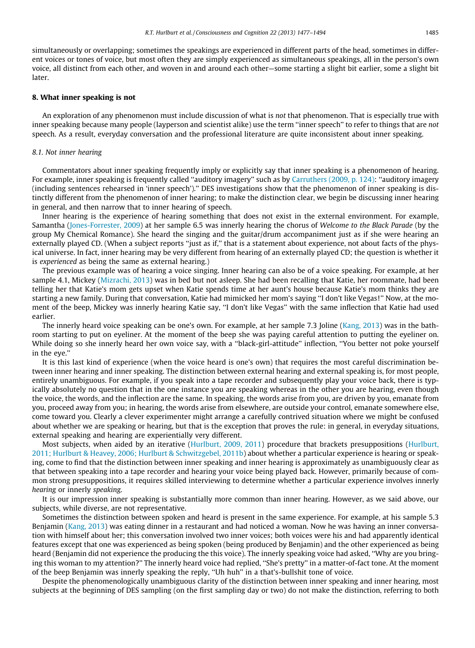simultaneously or overlapping; sometimes the speakings are experienced in different parts of the head, sometimes in different voices or tones of voice, but most often they are simply experienced as simultaneous speakings, all in the person's own voice, all distinct from each other, and woven in and around each other—some starting a slight bit earlier, some a slight bit later.

#### 8. What inner speaking is not

An exploration of any phenomenon must include discussion of what is not that phenomenon. That is especially true with inner speaking because many people (layperson and scientist alike) use the term ''inner speech'' to refer to things that are not speech. As a result, everyday conversation and the professional literature are quite inconsistent about inner speaking.

#### 8.1. Not inner hearing

Commentators about inner speaking frequently imply or explicitly say that inner speaking is a phenomenon of hearing. For example, inner speaking is frequently called "auditory imagery" such as by [Carruthers \(2009, p. 124\)](#page-16-0): "auditory imagery (including sentences rehearsed in 'inner speech').'' DES investigations show that the phenomenon of inner speaking is distinctly different from the phenomenon of inner hearing; to make the distinction clear, we begin be discussing inner hearing in general, and then narrow that to inner hearing of speech.

Inner hearing is the experience of hearing something that does not exist in the external environment. For example, Samantha [\(Jones-Forrester, 2009\)](#page-17-0) at her sample 6.5 was innerly hearing the chorus of Welcome to the Black Parade (by the group My Chemical Romance). She heard the singing and the guitar/drum accompaniment just as if she were hearing an externally played CD. (When a subject reports "just as if," that is a statement about experience, not about facts of the physical universe. In fact, inner hearing may be very different from hearing of an externally played CD; the question is whether it is experienced as being the same as external hearing.)

The previous example was of hearing a voice singing. Inner hearing can also be of a voice speaking. For example, at her sample 4.1, Mickey [\(Mizrachi, 2013\)](#page-17-0) was in bed but not asleep. She had been recalling that Katie, her roommate, had been telling her that Katie's mom gets upset when Katie spends time at her aunt's house because Katie's mom thinks they are starting a new family. During that conversation, Katie had mimicked her mom's saying ''I don't like Vegas!'' Now, at the moment of the beep, Mickey was innerly hearing Katie say, "I don't like Vegas" with the same inflection that Katie had used earlier.

The innerly heard voice speaking can be one's own. For example, at her sample 7.3 Joline ([Kang, 2013](#page-17-0)) was in the bathroom starting to put on eyeliner. At the moment of the beep she was paying careful attention to putting the eyeliner on. While doing so she innerly heard her own voice say, with a ''black-girl-attitude'' inflection, ''You better not poke yourself in the eye.''

It is this last kind of experience (when the voice heard is one's own) that requires the most careful discrimination between inner hearing and inner speaking. The distinction between external hearing and external speaking is, for most people, entirely unambiguous. For example, if you speak into a tape recorder and subsequently play your voice back, there is typically absolutely no question that in the one instance you are speaking whereas in the other you are hearing, even though the voice, the words, and the inflection are the same. In speaking, the words arise from you, are driven by you, emanate from you, proceed away from you; in hearing, the words arise from elsewhere, are outside your control, emanate somewhere else, come toward you. Clearly a clever experimenter might arrange a carefully contrived situation where we might be confused about whether we are speaking or hearing, but that is the exception that proves the rule: in general, in everyday situations, external speaking and hearing are experientially very different.

Most subjects, when aided by an iterative ([Hurlburt, 2009, 2011\)](#page-16-0) procedure that brackets presuppositions [\(Hurlburt,](#page-16-0) [2011; Hurlburt & Heavey, 2006; Hurlburt & Schwitzgebel, 2011b](#page-16-0)) about whether a particular experience is hearing or speaking, come to find that the distinction between inner speaking and inner hearing is approximately as unambiguously clear as that between speaking into a tape recorder and hearing your voice being played back. However, primarily because of common strong presuppositions, it requires skilled interviewing to determine whether a particular experience involves innerly hearing or innerly speaking.

It is our impression inner speaking is substantially more common than inner hearing. However, as we said above, our subjects, while diverse, are not representative.

Sometimes the distinction between spoken and heard is present in the same experience. For example, at his sample 5.3 Benjamin [\(Kang, 2013](#page-17-0)) was eating dinner in a restaurant and had noticed a woman. Now he was having an inner conversation with himself about her; this conversation involved two inner voices; both voices were his and had apparently identical features except that one was experienced as being spoken (being produced by Benjamin) and the other experienced as being heard (Benjamin did not experience the producing the this voice). The innerly speaking voice had asked, ''Why are you bringing this woman to my attention?'' The innerly heard voice had replied, ''She's pretty'' in a matter-of-fact tone. At the moment of the beep Benjamin was innerly speaking the reply, ''Uh huh'' in a that's-bullshit tone of voice.

Despite the phenomenologically unambiguous clarity of the distinction between inner speaking and inner hearing, most subjects at the beginning of DES sampling (on the first sampling day or two) do not make the distinction, referring to both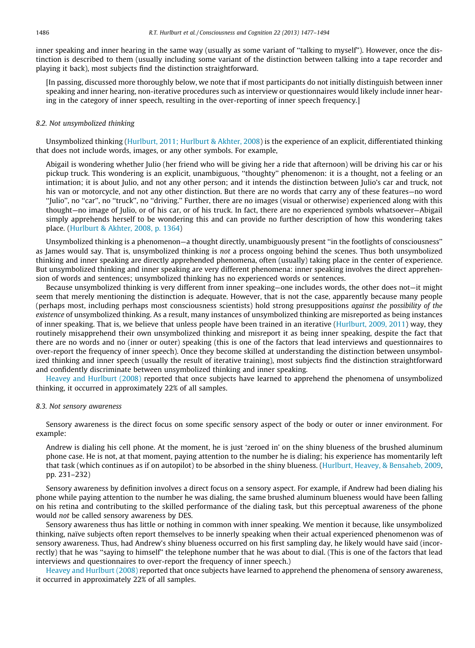inner speaking and inner hearing in the same way (usually as some variant of ''talking to myself''). However, once the distinction is described to them (usually including some variant of the distinction between talking into a tape recorder and playing it back), most subjects find the distinction straightforward.

[In passing, discussed more thoroughly below, we note that if most participants do not initially distinguish between inner speaking and inner hearing, non-iterative procedures such as interview or questionnaires would likely include inner hearing in the category of inner speech, resulting in the over-reporting of inner speech frequency.]

#### 8.2. Not unsymbolized thinking

Unsymbolized thinking ([Hurlburt, 2011; Hurlburt & Akhter, 2008](#page-16-0)) is the experience of an explicit, differentiated thinking that does not include words, images, or any other symbols. For example,

Abigail is wondering whether Julio (her friend who will be giving her a ride that afternoon) will be driving his car or his pickup truck. This wondering is an explicit, unambiguous, ''thoughty'' phenomenon: it is a thought, not a feeling or an intimation; it is about Julio, and not any other person; and it intends the distinction between Julio's car and truck, not his van or motorcycle, and not any other distinction. But there are no words that carry any of these features—no word ''Julio'', no ''car'', no ''truck'', no ''driving.'' Further, there are no images (visual or otherwise) experienced along with this thought—no image of Julio, or of his car, or of his truck. In fact, there are no experienced symbols whatsoever—Abigail simply apprehends herself to be wondering this and can provide no further description of how this wondering takes place. [\(Hurlburt & Akhter, 2008, p. 1364](#page-16-0))

Unsymbolized thinking is a phenomenon—a thought directly, unambiguously present ''in the footlights of consciousness'' as James would say. That is, unsymbolized thinking is not a process ongoing behind the scenes. Thus both unsymbolized thinking and inner speaking are directly apprehended phenomena, often (usually) taking place in the center of experience. But unsymbolized thinking and inner speaking are very different phenomena: inner speaking involves the direct apprehension of words and sentences; unsymbolized thinking has no experienced words or sentences.

Because unsymbolized thinking is very different from inner speaking—one includes words, the other does not—it might seem that merely mentioning the distinction is adequate. However, that is not the case, apparently because many people (perhaps most, including perhaps most consciousness scientists) hold strong presuppositions against the possibility of the existence of unsymbolized thinking. As a result, many instances of unsymbolized thinking are misreported as being instances of inner speaking. That is, we believe that unless people have been trained in an iterative ([Hurlburt, 2009, 2011](#page-16-0)) way, they routinely misapprehend their own unsymbolized thinking and misreport it as being inner speaking, despite the fact that there are no words and no (inner or outer) speaking (this is one of the factors that lead interviews and questionnaires to over-report the frequency of inner speech). Once they become skilled at understanding the distinction between unsymbolized thinking and inner speech (usually the result of iterative training), most subjects find the distinction straightforward and confidently discriminate between unsymbolized thinking and inner speaking.

[Heavey and Hurlburt \(2008\)](#page-16-0) reported that once subjects have learned to apprehend the phenomena of unsymbolized thinking, it occurred in approximately 22% of all samples.

## 8.3. Not sensory awareness

Sensory awareness is the direct focus on some specific sensory aspect of the body or outer or inner environment. For example:

Andrew is dialing his cell phone. At the moment, he is just 'zeroed in' on the shiny blueness of the brushed aluminum phone case. He is not, at that moment, paying attention to the number he is dialing; his experience has momentarily left that task (which continues as if on autopilot) to be absorbed in the shiny blueness. ([Hurlburt, Heavey, & Bensaheb, 2009,](#page-16-0) pp. 231–232)

Sensory awareness by definition involves a direct focus on a sensory aspect. For example, if Andrew had been dialing his phone while paying attention to the number he was dialing, the same brushed aluminum blueness would have been falling on his retina and contributing to the skilled performance of the dialing task, but this perceptual awareness of the phone would not be called sensory awareness by DES.

Sensory awareness thus has little or nothing in common with inner speaking. We mention it because, like unsymbolized thinking, naïve subjects often report themselves to be innerly speaking when their actual experienced phenomenon was of sensory awareness. Thus, had Andrew's shiny blueness occurred on his first sampling day, he likely would have said (incorrectly) that he was ''saying to himself'' the telephone number that he was about to dial. (This is one of the factors that lead interviews and questionnaires to over-report the frequency of inner speech.)

[Heavey and Hurlburt \(2008\)](#page-16-0) reported that once subjects have learned to apprehend the phenomena of sensory awareness, it occurred in approximately 22% of all samples.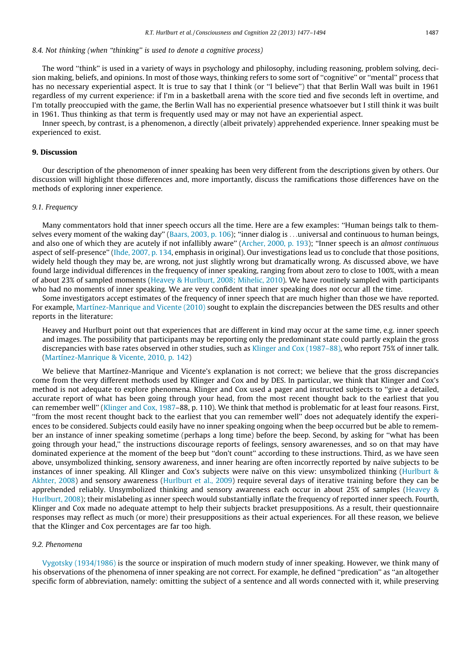# 8.4. Not thinking (when "thinking" is used to denote a cognitive process)

The word ''think'' is used in a variety of ways in psychology and philosophy, including reasoning, problem solving, decision making, beliefs, and opinions. In most of those ways, thinking refers to some sort of ''cognitive'' or ''mental'' process that has no necessary experiential aspect. It is true to say that I think (or "I believe") that that Berlin Wall was built in 1961 regardless of my current experience: if I'm in a basketball arena with the score tied and five seconds left in overtime, and I'm totally preoccupied with the game, the Berlin Wall has no experiential presence whatsoever but I still think it was built in 1961. Thus thinking as that term is frequently used may or may not have an experiential aspect.

Inner speech, by contrast, is a phenomenon, a directly (albeit privately) apprehended experience. Inner speaking must be experienced to exist.

# 9. Discussion

Our description of the phenomenon of inner speaking has been very different from the descriptions given by others. Our discussion will highlight those differences and, more importantly, discuss the ramifications those differences have on the methods of exploring inner experience.

#### 9.1. Frequency

Many commentators hold that inner speech occurs all the time. Here are a few examples: ''Human beings talk to themselves every moment of the waking day'' [\(Baars, 2003, p. 106\)](#page-16-0); ''inner dialog is ...universal and continuous to human beings, and also one of which they are acutely if not infallibly aware'' [\(Archer, 2000, p. 193](#page-16-0)); ''Inner speech is an almost continuous aspect of self-presence'' ([Ihde, 2007, p. 134,](#page-17-0) emphasis in original). Our investigations lead us to conclude that those positions, widely held though they may be, are wrong, not just slightly wrong but dramatically wrong. As discussed above, we have found large individual differences in the frequency of inner speaking, ranging from about zero to close to 100%, with a mean of about 23% of sampled moments ([Heavey & Hurlburt, 2008; Mihelic, 2010\)](#page-16-0). We have routinely sampled with participants who had no moments of inner speaking. We are very confident that inner speaking does not occur all the time.

Some investigators accept estimates of the frequency of inner speech that are much higher than those we have reported. For example, [Martínez-Manrique and Vicente \(2010\)](#page-17-0) sought to explain the discrepancies between the DES results and other reports in the literature:

Heavey and Hurlburt point out that experiences that are different in kind may occur at the same time, e.g. inner speech and images. The possibility that participants may be reporting only the predominant state could partly explain the gross discrepancies with base rates observed in other studies, such as [Klinger and Cox \(1987–88\)](#page-17-0), who report 75% of inner talk. ([Martínez-Manrique & Vicente, 2010, p. 142\)](#page-17-0)

We believe that Martínez-Manrique and Vicente's explanation is not correct; we believe that the gross discrepancies come from the very different methods used by Klinger and Cox and by DES. In particular, we think that Klinger and Cox's method is not adequate to explore phenomena. Klinger and Cox used a pager and instructed subjects to ''give a detailed, accurate report of what has been going through your head, from the most recent thought back to the earliest that you can remember well'' ([Klinger and Cox, 1987](#page-17-0)–88, p. 110). We think that method is problematic for at least four reasons. First, ''from the most recent thought back to the earliest that you can remember well'' does not adequately identify the experiences to be considered. Subjects could easily have no inner speaking ongoing when the beep occurred but be able to remember an instance of inner speaking sometime (perhaps a long time) before the beep. Second, by asking for ''what has been going through your head,'' the instructions discourage reports of feelings, sensory awarenesses, and so on that may have dominated experience at the moment of the beep but ''don't count'' according to these instructions. Third, as we have seen above, unsymbolized thinking, sensory awareness, and inner hearing are often incorrectly reported by naïve subjects to be instances of inner speaking. All Klinger and Cox's subjects were naïve on this view: unsymbolized thinking [\(Hurlburt &](#page-16-0) [Akhter, 2008](#page-16-0)) and sensory awareness [\(Hurlburt et al., 2009](#page-16-0)) require several days of iterative training before they can be apprehended reliably. Unsymbolized thinking and sensory awareness each occur in about 25% of samples [\(Heavey &](#page-16-0) [Hurlburt, 2008](#page-16-0)); their mislabeling as inner speech would substantially inflate the frequency of reported inner speech. Fourth, Klinger and Cox made no adequate attempt to help their subjects bracket presuppositions. As a result, their questionnaire responses may reflect as much (or more) their presuppositions as their actual experiences. For all these reason, we believe that the Klinger and Cox percentages are far too high.

#### 9.2. Phenomena

[Vygotsky \(1934/1986\)](#page-17-0) is the source or inspiration of much modern study of inner speaking. However, we think many of his observations of the phenomena of inner speaking are not correct. For example, he defined "predication" as "an altogether specific form of abbreviation, namely: omitting the subject of a sentence and all words connected with it, while preserving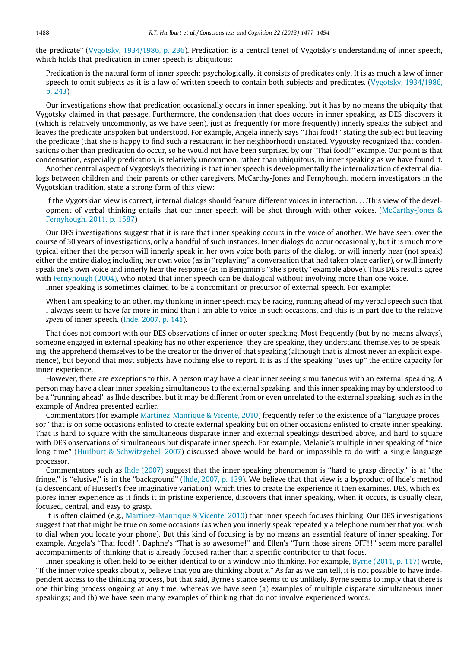the predicate'' ([Vygotsky, 1934/1986, p. 236\)](#page-17-0). Predication is a central tenet of Vygotsky's understanding of inner speech, which holds that predication in inner speech is ubiquitous:

Predication is the natural form of inner speech; psychologically, it consists of predicates only. It is as much a law of inner speech to omit subjects as it is a law of written speech to contain both subjects and predicates. [\(Vygotsky, 1934/1986,](#page-17-0) [p. 243\)](#page-17-0)

Our investigations show that predication occasionally occurs in inner speaking, but it has by no means the ubiquity that Vygotsky claimed in that passage. Furthermore, the condensation that does occurs in inner speaking, as DES discovers it (which is relatively uncommonly, as we have seen), just as frequently (or more frequently) innerly speaks the subject and leaves the predicate unspoken but understood. For example, Angela innerly says ''Thai food!'' stating the subject but leaving the predicate (that she is happy to find such a restaurant in her neighborhood) unstated. Vygotsky recognized that condensations other than predication do occur, so he would not have been surprised by our ''Thai food!'' example. Our point is that condensation, especially predication, is relatively uncommon, rather than ubiquitous, in inner speaking as we have found it.

Another central aspect of Vygotsky's theorizing is that inner speech is developmentally the internalization of external dialogs between children and their parents or other caregivers. McCarthy-Jones and Fernyhough, modern investigators in the Vygotskian tradition, state a strong form of this view:

If the Vygotskian view is correct, internal dialogs should feature different voices in interaction. ...This view of the development of verbal thinking entails that our inner speech will be shot through with other voices. [\(McCarthy-Jones &](#page-17-0) [Fernyhough, 2011, p. 1587](#page-17-0))

Our DES investigations suggest that it is rare that inner speaking occurs in the voice of another. We have seen, over the course of 30 years of investigations, only a handful of such instances. Inner dialogs do occur occasionally, but it is much more typical either that the person will innerly speak in her own voice both parts of the dialog, or will innerly hear (not speak) either the entire dialog including her own voice (as in ''replaying'' a conversation that had taken place earlier), or will innerly speak one's own voice and innerly hear the response (as in Benjamin's ''she's pretty'' example above). Thus DES results agree with [Fernyhough \(2004\),](#page-16-0) who noted that inner speech can be dialogical without involving more than one voice.

Inner speaking is sometimes claimed to be a concomitant or precursor of external speech. For example:

When I am speaking to an other, my thinking in inner speech may be racing, running ahead of my verbal speech such that I always seem to have far more in mind than I am able to voice in such occasions, and this is in part due to the relative speed of inner speech. ([Ihde, 2007, p. 141\)](#page-17-0).

That does not comport with our DES observations of inner or outer speaking. Most frequently (but by no means always), someone engaged in external speaking has no other experience: they are speaking, they understand themselves to be speaking, the apprehend themselves to be the creator or the driver of that speaking (although that is almost never an explicit experience), but beyond that most subjects have nothing else to report. It is as if the speaking ''uses up'' the entire capacity for inner experience.

However, there are exceptions to this. A person may have a clear inner seeing simultaneous with an external speaking. A person may have a clear inner speaking simultaneous to the external speaking, and this inner speaking may by understood to be a ''running ahead'' as Ihde describes, but it may be different from or even unrelated to the external speaking, such as in the example of Andrea presented earlier.

Commentators (for example [Martínez-Manrique & Vicente, 2010\)](#page-17-0) frequently refer to the existence of a ''language processor'' that is on some occasions enlisted to create external speaking but on other occasions enlisted to create inner speaking. That is hard to square with the simultaneous disparate inner and external speakings described above, and hard to square with DES observations of simultaneous but disparate inner speech. For example, Melanie's multiple inner speaking of ''nice long time'' [\(Hurlburt & Schwitzgebel, 2007\)](#page-17-0) discussed above would be hard or impossible to do with a single language processor.

Commentators such as [Ihde \(2007\)](#page-17-0) suggest that the inner speaking phenomenon is ''hard to grasp directly,'' is at ''the fringe," is "elusive," is in the "background" ([Ihde, 2007, p. 139\)](#page-17-0). We believe that that view is a byproduct of Ihde's method (a descendant of Husserl's free imaginative variation), which tries to create the experience it then examines. DES, which explores inner experience as it finds it in pristine experience, discovers that inner speaking, when it occurs, is usually clear, focused, central, and easy to grasp.

It is often claimed (e.g., [Martínez-Manrique & Vicente, 2010](#page-17-0)) that inner speech focuses thinking. Our DES investigations suggest that that might be true on some occasions (as when you innerly speak repeatedly a telephone number that you wish to dial when you locate your phone). But this kind of focusing is by no means an essential feature of inner speaking. For example, Angela's ''Thai food!'', Daphne's ''That is so awesome!'' and Ellen's ''Turn those sirens OFF!!'' seem more parallel accompaniments of thinking that is already focused rather than a specific contributor to that focus.

Inner speaking is often held to be either identical to or a window into thinking. For example, [Byrne \(2011, p. 117\)](#page-16-0) wrote, ''If the inner voice speaks about x, believe that you are thinking about x.'' As far as we can tell, it is not possible to have independent access to the thinking process, but that said, Byrne's stance seems to us unlikely. Byrne seems to imply that there is one thinking process ongoing at any time, whereas we have seen (a) examples of multiple disparate simultaneous inner speakings; and (b) we have seen many examples of thinking that do not involve experienced words.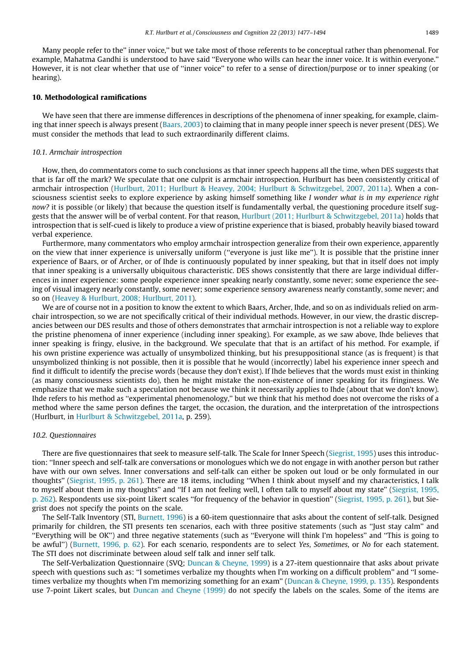Many people refer to the'' inner voice,'' but we take most of those referents to be conceptual rather than phenomenal. For example, Mahatma Gandhi is understood to have said ''Everyone who wills can hear the inner voice. It is within everyone.'' However, it is not clear whether that use of ''inner voice'' to refer to a sense of direction/purpose or to inner speaking (or hearing).

# 10. Methodological ramifications

We have seen that there are immense differences in descriptions of the phenomena of inner speaking, for example, claiming that inner speech is always present [\(Baars, 2003\)](#page-16-0) to claiming that in many people inner speech is never present (DES). We must consider the methods that lead to such extraordinarily different claims.

#### 10.1. Armchair introspection

How, then, do commentators come to such conclusions as that inner speech happens all the time, when DES suggests that that is far off the mark? We speculate that one culprit is armchair introspection. Hurlburt has been consistently critical of armchair introspection ([Hurlburt, 2011; Hurlburt & Heavey, 2004; Hurlburt & Schwitzgebel, 2007, 2011a\)](#page-16-0). When a consciousness scientist seeks to explore experience by asking himself something like I wonder what is in my experience right now? it is possible (or likely) that because the question itself is fundamentally verbal, the questioning procedure itself suggests that the answer will be of verbal content. For that reason, [Hurlburt \(2011; Hurlburt & Schwitzgebel, 2011a\)](#page-16-0) holds that introspection that is self-cued is likely to produce a view of pristine experience that is biased, probably heavily biased toward verbal experience.

Furthermore, many commentators who employ armchair introspection generalize from their own experience, apparently on the view that inner experience is universally uniform (''everyone is just like me''). It is possible that the pristine inner experience of Baars, or of Archer, or of Ihde is continuously populated by inner speaking, but that in itself does not imply that inner speaking is a universally ubiquitous characteristic. DES shows consistently that there are large individual differences in inner experience: some people experience inner speaking nearly constantly, some never; some experience the seeing of visual imagery nearly constantly, some never; some experience sensory awareness nearly constantly, some never; and so on ([Heavey & Hurlburt, 2008; Hurlburt, 2011](#page-16-0)).

We are of course not in a position to know the extent to which Baars, Archer, Ihde, and so on as individuals relied on armchair introspection, so we are not specifically critical of their individual methods. However, in our view, the drastic discrepancies between our DES results and those of others demonstrates that armchair introspection is not a reliable way to explore the pristine phenomena of inner experience (including inner speaking). For example, as we saw above, Ihde believes that inner speaking is fringy, elusive, in the background. We speculate that that is an artifact of his method. For example, if his own pristine experience was actually of unsymbolized thinking, but his presuppositional stance (as is frequent) is that unsymbolized thinking is not possible, then it is possible that he would (incorrectly) label his experience inner speech and find it difficult to identify the precise words (because they don't exist). If Ihde believes that the words must exist in thinking (as many consciousness scientists do), then he might mistake the non-existence of inner speaking for its fringiness. We emphasize that we make such a speculation not because we think it necessarily applies to Ihde (about that we don't know). Ihde refers to his method as ''experimental phenomenology,'' but we think that his method does not overcome the risks of a method where the same person defines the target, the occasion, the duration, and the interpretation of the introspections (Hurlburt, in [Hurlburt & Schwitzgebel, 2011a,](#page-17-0) p. 259).

#### 10.2. Questionnaires

There are five questionnaires that seek to measure self-talk. The Scale for Inner Speech [\(Siegrist, 1995](#page-17-0)) uses this introduction: ''Inner speech and self-talk are conversations or monologues which we do not engage in with another person but rather have with our own selves. Inner conversations and self-talk can either be spoken out loud or be only formulated in our thoughts'' [\(Siegrist, 1995, p. 261](#page-17-0)). There are 18 items, including ''When I think about myself and my characteristics, I talk to myself about them in my thoughts'' and ''If I am not feeling well, I often talk to myself about my state'' ([Siegrist, 1995,](#page-17-0) [p. 262](#page-17-0)). Respondents use six-point Likert scales ''for frequency of the behavior in question'' [\(Siegrist, 1995, p. 261](#page-17-0)), but Siegrist does not specify the points on the scale.

The Self-Talk Inventory (STI, [Burnett, 1996\)](#page-16-0) is a 60-item questionnaire that asks about the content of self-talk. Designed primarily for children, the STI presents ten scenarios, each with three positive statements (such as ''Just stay calm'' and ''Everything will be OK'') and three negative statements (such as ''Everyone will think I'm hopeless'' and ''This is going to be awful'') ([Burnett, 1996, p. 62](#page-16-0)). For each scenario, respondents are to select Yes, Sometimes, or No for each statement. The STI does not discriminate between aloud self talk and inner self talk.

The Self-Verbalization Questionnaire (SVQ; [Duncan & Cheyne, 1999](#page-16-0)) is a 27-item questionnaire that asks about private speech with questions such as: ''I sometimes verbalize my thoughts when I'm working on a difficult problem'' and ''I sometimes verbalize my thoughts when I'm memorizing something for an exam'' ([Duncan & Cheyne, 1999, p. 135\)](#page-16-0). Respondents use 7-point Likert scales, but [Duncan and Cheyne \(1999\)](#page-16-0) do not specify the labels on the scales. Some of the items are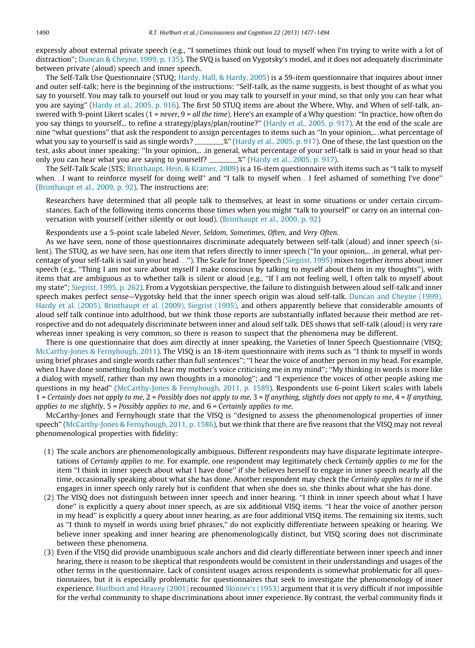expressly about external private speech (e.g., "I sometimes think out loud to myself when I'm trying to write with a lot of distraction''; [Duncan & Cheyne, 1999, p. 135](#page-16-0)). The SVQ is based on Vygotsky's model, and it does not adequately discriminate between private (aloud) speech and inner speech.

The Self-Talk Use Questionnaire (STUQ; [Hardy, Hall, & Hardy, 2005\)](#page-16-0) is a 59-item questionnaire that inquires about inner and outer self-talk; here is the beginning of the instructions: ''Self-talk, as the name suggests, is best thought of as what you say to yourself. You may talk to yourself out loud or you may talk to yourself in your mind, so that only you can hear what you are saying'' ([Hardy et al., 2005, p. 916\)](#page-16-0). The first 50 STUQ items are about the Where, Why, and When of self-talk, answered with 9-point Likert scales (1 = never, 9 = all the time). Here's an example of a Why question: "In practice, how often do you say things to yourself... to refine a strategy/plays/plan/routine?'' [\(Hardy et al., 2005, p. 917\)](#page-16-0). At the end of the scale are nine ''what questions'' that ask the respondent to assign percentages to items such as ''In your opinion,.. .what percentage of what you say to yourself is said as single words? \_\_\_\_\_\_\_\_%'' [\(Hardy et al., 2005, p. 917](#page-16-0)). One of these, the last question on the test, asks about inner speaking: "In your opinion,.. .in general, what percentage of your self-talk is said in your head so that only you can hear what you are saying to yourself? \_\_\_\_\_\_\_\_%'' [\(Hardy et al., 2005, p. 917](#page-16-0)).

The Self-Talk Scale (STS; [Brinthaupt, Hein, & Kramer, 2009](#page-16-0)) is a 16-item questionnaire with items such as ''I talk to myself when...I want to reinforce myself for doing well" and "I talk to myself when...I feel ashamed of something I've done" [\(Brinthaupt et al., 2009, p. 92](#page-16-0)). The instructions are:

Researchers have determined that all people talk to themselves, at least in some situations or under certain circumstances. Each of the following items concerns those times when you might ''talk to yourself'' or carry on an internal conversation with yourself (either silently or out loud). [\(Brinthaupt et al., 2009, p. 92](#page-16-0))

Respondents use a 5-point scale labeled Never, Seldom, Sometimes, Often, and Very Often.

As we have seen, none of those questionnaires discriminate adequately between self-talk (aloud) and inner speech (silent). The STUQ, as we have seen, has one item that refers directly to inner speech ("In your opinion,.. .in general, what percentage of your self-talk is said in your head...''). The Scale for Inner Speech [\(Siegrist, 1995](#page-17-0)) mixes together items about inner speech (e.g., ''Thing I am not sure about myself I make conscious by talking to myself about them in my thoughts''), with items that are ambiguous as to whether talk is silent or aloud (e.g., ''If I am not feeling well, I often talk to myself about my state''; [Siegrist, 1995, p. 262](#page-17-0)). From a Vygotskian perspective, the failure to distinguish between aloud self-talk and inner speech makes perfect sense—Vygotsky held that the inner speech origin was aloud self-talk. [Duncan and Cheyne \(1999\),](#page-16-0) [Hardy et al. \(2005\), Brinthaupt et al. \(2009\), Siegrist \(1995\),](#page-16-0) and others apparently believe that considerable amounts of aloud self talk continue into adulthood, but we think those reports are substantially inflated because their method are retrospective and do not adequately discriminate between inner and aloud self talk. DES shows that self-talk (aloud) is very rare whereas inner speaking is very common, so there is reason to suspect that the phenomena may be different.

There is one questionnaire that does aim directly at inner speaking, the Varieties of Inner Speech Questionnaire (VISQ; [McCarthy-Jones & Fernyhough, 2011\)](#page-17-0). The VISQ is an 18-item questionnaire with items such as ''I think to myself in words using brief phrases and single words rather than full sentences''; ''I hear the voice of another person in my head. For example, when I have done something foolish I hear my mother's voice criticising me in my mind''; ''My thinking in words is more like a dialog with myself, rather than my own thoughts in a monolog''; and ''I experience the voices of other people asking me questions in my head'' [\(McCarthy-Jones & Fernyhough, 2011, p. 1589\)](#page-17-0). Respondents use 6-point Likert scales with labels 1 = Certainly does not apply to me, 2 = Possibly does not apply to me, 3 = If anything, slightly does not apply to me, 4 = If anything, applies to me slightly,  $5 =$  Possibly applies to me, and  $6 =$  Certainly applies to me.

McCarthy-Jones and Fernyhough state that the VISQ is ''designed to assess the phenomenological properties of inner speech'' ([McCarthy-Jones & Fernyhough, 2011, p. 1586\)](#page-17-0), but we think that there are five reasons that the VISQ may not reveal phenomenological properties with fidelity:

- (1) The scale anchors are phenomenologically ambiguous. Different respondents may have disparate legitimate interpretations of Certainly applies to me. For example, one respondent may legitimately check Certainly applies to me for the item ''I think in inner speech about what I have done'' if she believes herself to engage in inner speech nearly all the time, occasionally speaking about what she has done. Another respondent may check the Certainly applies to me if she engages in inner speech only rarely but is confident that when she does so, she thinks about what she has done.
- (2) The VISQ does not distinguish between inner speech and inner hearing. ''I think in inner speech about what I have done'' is explicitly a query about inner speech, as are six additional VISQ items. ''I hear the voice of another person in my head'' is explicitly a query about inner hearing, as are four additional VISQ items. The remaining six items, such as ''I think to myself in words using brief phrases,'' do not explicitly differentiate between speaking or hearing. We believe inner speaking and inner hearing are phenomenologically distinct, but VISQ scoring does not discriminate between these phenomena.
- (3) Even if the VISQ did provide unambiguous scale anchors and did clearly differentiate between inner speech and inner hearing, there is reason to be skeptical that respondents would be consistent in their understandings and usages of the other terms in the questionnaire. Lack of consistent usages across respondents is somewhat problematic for all questionnaires, but it is especially problematic for questionnaires that seek to investigate the phenomenology of inner experience. [Hurlburt and Heavey \(2001\)](#page-16-0) recounted [Skinner's \(1953\)](#page-17-0) argument that it is very difficult if not impossible for the verbal community to shape discriminations about inner experience. By contrast, the verbal community finds it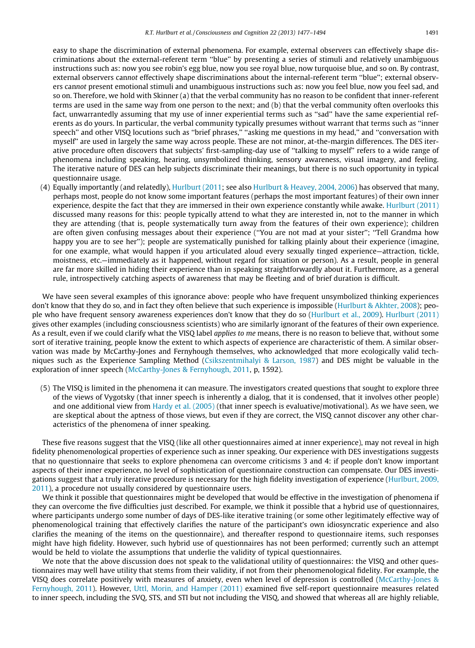easy to shape the discrimination of external phenomena. For example, external observers can effectively shape discriminations about the external-referent term ''blue'' by presenting a series of stimuli and relatively unambiguous instructions such as: now you see robin's egg blue, now you see royal blue, now turquoise blue, and so on. By contrast, external observers cannot effectively shape discriminations about the internal-referent term ''blue''; external observers cannot present emotional stimuli and unambiguous instructions such as: now you feel blue, now you feel sad, and so on. Therefore, we hold with Skinner (a) that the verbal community has no reason to be confident that inner-referent terms are used in the same way from one person to the next; and (b) that the verbal community often overlooks this fact, unwarrantedly assuming that my use of inner experiential terms such as ''sad'' have the same experiential referents as do yours. In particular, the verbal community typically presumes without warrant that terms such as ''inner speech'' and other VISQ locutions such as ''brief phrases,'' ''asking me questions in my head,'' and ''conversation with myself'' are used in largely the same way across people. These are not minor, at-the-margin differences. The DES iterative procedure often discovers that subjects' first-sampling-day use of ''talking to myself'' refers to a wide range of phenomena including speaking, hearing, unsymbolized thinking, sensory awareness, visual imagery, and feeling. The iterative nature of DES can help subjects discriminate their meanings, but there is no such opportunity in typical questionnaire usage.

(4) Equally importantly (and relatedly), [Hurlburt \(2011](#page-16-0); see also [Hurlburt & Heavey, 2004, 2006\)](#page-16-0) has observed that many, perhaps most, people do not know some important features (perhaps the most important features) of their own inner experience, despite the fact that they are immersed in their own experience constantly while awake. [Hurlburt \(2011\)](#page-16-0) discussed many reasons for this: people typically attend to what they are interested in, not to the manner in which they are attending (that is, people systematically turn away from the features of their own experience); children are often given confusing messages about their experience (''You are not mad at your sister''; ''Tell Grandma how happy you are to see her"); people are systematically punished for talking plainly about their experience (imagine, for one example, what would happen if you articulated aloud every sexually tinged experience—attraction, tickle, moistness, etc.—immediately as it happened, without regard for situation or person). As a result, people in general are far more skilled in hiding their experience than in speaking straightforwardly about it. Furthermore, as a general rule, introspectively catching aspects of awareness that may be fleeting and of brief duration is difficult.

We have seen several examples of this ignorance above: people who have frequent unsymbolized thinking experiences don't know that they do so, and in fact they often believe that such experience is impossible ([Hurlburt & Akhter, 2008](#page-16-0)); people who have frequent sensory awareness experiences don't know that they do so ([Hurlburt et al., 2009\)](#page-16-0). [Hurlburt \(2011\)](#page-16-0) gives other examples (including consciousness scientists) who are similarly ignorant of the features of their own experience. As a result, even if we could clarify what the VISQ label applies to me means, there is no reason to believe that, without some sort of iterative training, people know the extent to which aspects of experience are characteristic of them. A similar observation was made by McCarthy-Jones and Fernyhough themselves, who acknowledged that more ecologically valid techniques such as the Experience Sampling Method ([Csikszentmihalyi & Larson, 1987\)](#page-16-0) and DES might be valuable in the exploration of inner speech ([McCarthy-Jones & Fernyhough, 2011](#page-17-0), p, 1592).

(5) The VISQ is limited in the phenomena it can measure. The investigators created questions that sought to explore three of the views of Vygotsky (that inner speech is inherently a dialog, that it is condensed, that it involves other people) and one additional view from [Hardy et al. \(2005\)](#page-16-0) (that inner speech is evaluative/motivational). As we have seen, we are skeptical about the aptness of those views, but even if they are correct, the VISQ cannot discover any other characteristics of the phenomena of inner speaking.

These five reasons suggest that the VISQ (like all other questionnaires aimed at inner experience), may not reveal in high fidelity phenomenological properties of experience such as inner speaking. Our experience with DES investigations suggests that no questionnaire that seeks to explore phenomena can overcome criticisms 3 and 4: if people don't know important aspects of their inner experience, no level of sophistication of questionnaire construction can compensate. Our DES investigations suggest that a truly iterative procedure is necessary for the high fidelity investigation of experience [\(Hurlburt, 2009,](#page-16-0) [2011\)](#page-16-0), a procedure not usually considered by questionnaire users.

We think it possible that questionnaires might be developed that would be effective in the investigation of phenomena if they can overcome the five difficulties just described. For example, we think it possible that a hybrid use of questionnaires, where participants undergo some number of days of DES-like iterative training (or some other legitimately effective way of phenomenological training that effectively clarifies the nature of the participant's own idiosyncratic experience and also clarifies the meaning of the items on the questionnaire), and thereafter respond to questionnaire items, such responses might have high fidelity. However, such hybrid use of questionnaires has not been performed; currently such an attempt would be held to violate the assumptions that underlie the validity of typical questionnaires.

We note that the above discussion does not speak to the validational utility of questionnaires: the VISQ and other questionnaires may well have utility that stems from their validity, if not from their phenomenological fidelity. For example, the VISQ does correlate positively with measures of anxiety, even when level of depression is controlled [\(McCarthy-Jones &](#page-17-0) [Fernyhough, 2011](#page-17-0)). However, [Uttl, Morin, and Hamper \(2011\)](#page-17-0) examined five self-report questionnaire measures related to inner speech, including the SVQ, STS, and STI but not including the VISQ, and showed that whereas all are highly reliable,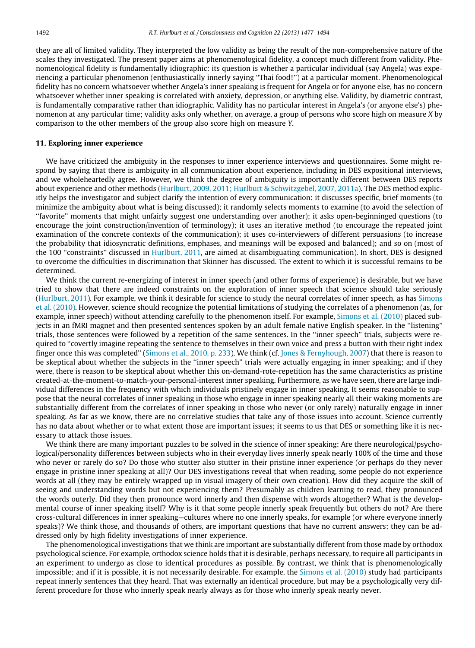they are all of limited validity. They interpreted the low validity as being the result of the non-comprehensive nature of the scales they investigated. The present paper aims at phenomenological fidelity, a concept much different from validity. Phenomenological fidelity is fundamentally idiographic: its question is whether a particular individual (say Angela) was experiencing a particular phenomenon (enthusiastically innerly saying ''Thai food!'') at a particular moment. Phenomenological fidelity has no concern whatsoever whether Angela's inner speaking is frequent for Angela or for anyone else, has no concern whatsoever whether inner speaking is correlated with anxiety, depression, or anything else. Validity, by diametric contrast, is fundamentally comparative rather than idiographic. Validity has no particular interest in Angela's (or anyone else's) phenomenon at any particular time; validity asks only whether, on average, a group of persons who score high on measure X by comparison to the other members of the group also score high on measure Y.

#### 11. Exploring inner experience

We have criticized the ambiguity in the responses to inner experience interviews and questionnaires. Some might respond by saying that there is ambiguity in all communication about experience, including in DES expositional interviews, and we wholeheartedly agree. However, we think the degree of ambiguity is importantly different between DES reports about experience and other methods [\(Hurlburt, 2009, 2011; Hurlburt & Schwitzgebel, 2007, 2011a\)](#page-16-0). The DES method explicitly helps the investigator and subject clarify the intention of every communication: it discusses specific, brief moments (to minimize the ambiguity about what is being discussed); it randomly selects moments to examine (to avoid the selection of ''favorite'' moments that might unfairly suggest one understanding over another); it asks open-beginninged questions (to encourage the joint construction/invention of terminology); it uses an iterative method (to encourage the repeated joint examination of the concrete contexts of the communication); it uses co-interviewers of different persuasions (to increase the probability that idiosyncratic definitions, emphases, and meanings will be exposed and balanced); and so on (most of the 100 ''constraints'' discussed in [Hurlburt, 2011](#page-16-0), are aimed at disambiguating communication). In short, DES is designed to overcome the difficulties in discrimination that Skinner has discussed. The extent to which it is successful remains to be determined.

We think the current re-energizing of interest in inner speech (and other forms of experience) is desirable, but we have tried to show that there are indeed constraints on the exploration of inner speech that science should take seriously [\(Hurlburt, 2011](#page-16-0)). For example, we think it desirable for science to study the neural correlates of inner speech, as has [Simons](#page-17-0) [et al. \(2010\)](#page-17-0). However, science should recognize the potential limitations of studying the correlates of a phenomenon (as, for example, inner speech) without attending carefully to the phenomenon itself. For example, [Simons et al. \(2010\)](#page-17-0) placed subjects in an fMRI magnet and then presented sentences spoken by an adult female native English speaker. In the ''listening'' trials, those sentences were followed by a repetition of the same sentences. In the ''inner speech'' trials, subjects were required to ''covertly imagine repeating the sentence to themselves in their own voice and press a button with their right index finger once this was completed'' ([Simons et al., 2010, p. 233\)](#page-17-0). We think (cf. [Jones & Fernyhough, 2007](#page-17-0)) that there is reason to be skeptical about whether the subjects in the ''inner speech'' trials were actually engaging in inner speaking; and if they were, there is reason to be skeptical about whether this on-demand-rote-repetition has the same characteristics as pristine created-at-the-moment-to-match-your-personal-interest inner speaking. Furthermore, as we have seen, there are large individual differences in the frequency with which individuals pristinely engage in inner speaking. It seems reasonable to suppose that the neural correlates of inner speaking in those who engage in inner speaking nearly all their waking moments are substantially different from the correlates of inner speaking in those who never (or only rarely) naturally engage in inner speaking. As far as we know, there are no correlative studies that take any of those issues into account. Science currently has no data about whether or to what extent those are important issues; it seems to us that DES or something like it is necessary to attack those issues.

We think there are many important puzzles to be solved in the science of inner speaking: Are there neurological/psychological/personality differences between subjects who in their everyday lives innerly speak nearly 100% of the time and those who never or rarely do so? Do those who stutter also stutter in their pristine inner experience (or perhaps do they never engage in pristine inner speaking at all)? Our DES investigations reveal that when reading, some people do not experience words at all (they may be entirely wrapped up in visual imagery of their own creation). How did they acquire the skill of seeing and understanding words but not experiencing them? Presumably as children learning to read, they pronounced the words outerly. Did they then pronounce word innerly and then dispense with words altogether? What is the developmental course of inner speaking itself? Why is it that some people innerly speak frequently but others do not? Are there cross-cultural differences in inner speaking—cultures where no one innerly speaks, for example (or where everyone innerly speaks)? We think those, and thousands of others, are important questions that have no current answers; they can be addressed only by high fidelity investigations of inner experience.

The phenomenological investigations that we think are important are substantially different from those made by orthodox psychological science. For example, orthodox science holds that it is desirable, perhaps necessary, to require all participants in an experiment to undergo as close to identical procedures as possible. By contrast, we think that is phenomenologically impossible; and if it is possible, it is not necessarily desirable. For example, the [Simons et al. \(2010\)](#page-17-0) study had participants repeat innerly sentences that they heard. That was externally an identical procedure, but may be a psychologically very different procedure for those who innerly speak nearly always as for those who innerly speak nearly never.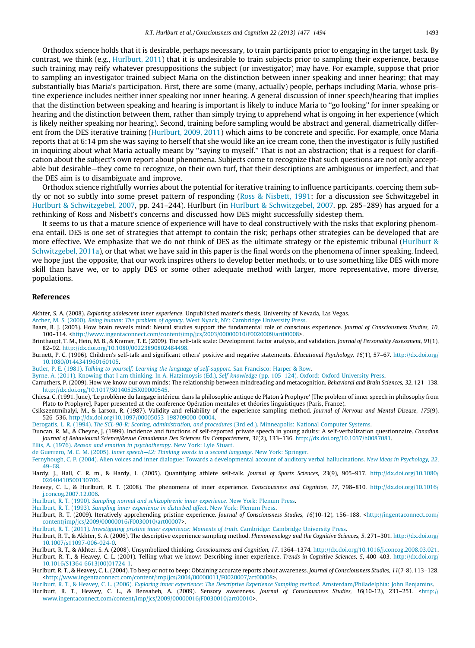<span id="page-16-0"></span>Orthodox science holds that it is desirable, perhaps necessary, to train participants prior to engaging in the target task. By contrast, we think (e.g., Hurlburt, 2011) that it is undesirable to train subjects prior to sampling their experience, because such training may reify whatever presuppositions the subject (or investigator) may have. For example, suppose that prior to sampling an investigator trained subject Maria on the distinction between inner speaking and inner hearing; that may substantially bias Maria's participation. First, there are some (many, actually) people, perhaps including Maria, whose pristine experience includes neither inner speaking nor inner hearing. A general discussion of inner speech/hearing that implies that the distinction between speaking and hearing is important is likely to induce Maria to ''go looking'' for inner speaking or hearing and the distinction between them, rather than simply trying to apprehend what is ongoing in her experience (which is likely neither speaking nor hearing). Second, training before sampling would be abstract and general, diametrically different from the DES iterative training (Hurlburt, 2009, 2011) which aims to be concrete and specific. For example, once Maria reports that at 6:14 pm she was saying to herself that she would like an ice cream cone, then the investigator is fully justified in inquiring about what Maria actually meant by "saying to myself." That is not an abstraction; that is a request for clarification about the subject's own report about phenomena. Subjects come to recognize that such questions are not only acceptable but desirable—they come to recognize, on their own turf, that their descriptions are ambiguous or imperfect, and that the DES aim is to disambiguate and improve.

Orthodox science rightfully worries about the potential for iterative training to influence participants, coercing them subtly or not so subtly into some preset pattern of responding [\(Ross & Nisbett, 1991](#page-17-0); for a discussion see Schwitzgebel in [Hurlburt & Schwitzgebel, 2007,](#page-17-0) pp. 241–244). Hurlburt (in [Hurlburt & Schwitzgebel, 2007](#page-17-0), pp. 285–289) has argued for a rethinking of Ross and Nisbett's concerns and discussed how DES might successfully sidestep them.

It seems to us that a mature science of experience will have to deal constructively with the risks that exploring phenomena entail. DES is one set of strategies that attempt to contain the risk; perhaps other strategies can be developed that are more effective. We emphasize that we do not think of DES as the ultimate strategy or the epistemic tribunal ([Hurlburt &](#page-17-0) [Schwitzgebel, 2011a\)](#page-17-0), or that what we have said in this paper is the final words on the phenomena of inner speaking. Indeed, we hope just the opposite, that our work inspires others to develop better methods, or to use something like DES with more skill than have we, or to apply DES or some other adequate method with larger, more representative, more diverse, populations.

#### References

Akhter, S. A. (2008). Exploring adolescent inner experience. Unpublished master's thesis, University of Nevada, Las Vegas.

- Archer, M. S. (2000). Being human: The problem of agency[. West Nyack, NY: Cambridge University Press](http://refhub.elsevier.com/S1053-8100(13)00142-6/h0005).
- Baars, B. J. (2003). How brain reveals mind: Neural studies support the fundamental role of conscious experience. Journal of Consciousness Studies, 10, 100–114. <<http://www.ingentaconnect.com/content/imp/jcs/2003/00000010/F0020009/art00008>>.
- Brinthaupt, T. M., Hein, M. B., & Kramer, T. E. (2009). The self-talk scale: Development, factor analysis, and validation. Journal of Personality Assessment, 91(1), 82–92. [http://dx.doi.org/10.1080/00223890802484498.](http://dx.doi.org/10.1080/00223890802484498)
- Burnett, P. C. (1996). Children's self-talk and significant others' positive and negative statements. Educational Psychology, 16(1), 57-67. [http://dx.doi.org/](http://dx.doi.org/10.1080/0144341960160105) [10.1080/0144341960160105](http://dx.doi.org/10.1080/0144341960160105).

Butler, P. E. (1981). [Talking to yourself: Learning the language of self-support](http://refhub.elsevier.com/S1053-8100(13)00142-6/h0025). San Francisco: Harper & Row.

[Byrne, A. \(2011\). Knowing that I am thinking. In A. Hatzimoysis \(Ed.\),](http://refhub.elsevier.com/S1053-8100(13)00142-6/h0030) Self-knowledge (pp. 105–124). Oxford: Oxford University Press.

Carruthers, P. (2009). How we know our own minds: The relationship between mindreading and metacognition. Behavioral and Brain Sciences, 32, 121–138. <http://dx.doi.org/10.1017/S0140525X09000545>.

Chiesa, C. (1991, June), 'Le problème du langage intérieur dans la philosophie antique de Platon à Prophyre' [The problem of inner speech in philosophy from Plato to Prophyre], Paper presented at the conference Opération mentales et théories linguistiques (Paris, France).

Csikszentmihalyi, M., & Larson, R. (1987). Validity and reliability of the experience-sampling method. Journal of Nervous and Mental Disease, 175(9), 526–536. <http://dx.doi.org/10.1097/00005053-198709000-00004>.

Derogatis, L. R. (1994). [The SCL-90-R: Scoring, administration, and procedures](http://refhub.elsevier.com/S1053-8100(13)00142-6/h0045) (3rd ed.). Minneapolis: National Computer Systems.

Duncan, R. M., & Cheyne, J. (1999). Incidence and functions of self-reported private speech in young adults: A self-verbalization questionnaire. Canadian Journal of Behavioural Science/Revue Canadienne Des Sciences Du Comportement, 31(2), 133–136. <http://dx.doi.org/10.1037/h0087081>.

Ellis, A. (1976). [Reason and emotion in psychotherapy](http://refhub.elsevier.com/S1053-8100(13)00142-6/h0055). New York: Lyle Stuart.

de Guerrero, M. C. M. (2005). [Inner speech—L2: Thinking words in a second language](http://refhub.elsevier.com/S1053-8100(13)00142-6/h0060). New York: Springer.

[Fernyhough, C. P. \(2004\). Alien voices and inner dialogue: Towards a developmental account of auditory verbal hallucinations.](http://refhub.elsevier.com/S1053-8100(13)00142-6/h9065) New Ideas in Psychology, 22, [49–68.](http://refhub.elsevier.com/S1053-8100(13)00142-6/h9065)

Hardy, J., Hall, C. R. m., & Hardy, L. (2005). Quantifying athlete self-talk. Journal of Sports Sciences, 23(9), 905–917. [http://dx.doi.org/10.1080/](http://dx.doi.org/10.1080/02640410500130706) [02640410500130706](http://dx.doi.org/10.1080/02640410500130706).

Heavey, C. L., & Hurlburt, R. T. (2008). The phenomena of inner experience. Consciousness and Cognition, 17, 798–810. [http://dx.doi.org/10.1016/](http://dx.doi.org/10.1016/j.concog.2007.12.006) [j.concog.2007.12.006](http://dx.doi.org/10.1016/j.concog.2007.12.006).

Hurlburt, R. T. (1990). [Sampling normal and schizophrenic inner experience](http://refhub.elsevier.com/S1053-8100(13)00142-6/h0075). New York: Plenum Press.

Hurlburt, R. T. (1993). [Sampling inner experience in disturbed affect](http://refhub.elsevier.com/S1053-8100(13)00142-6/h0080). New York: Plenum Press.

Hurlburt, R. T. (2009). Iteratively apprehending pristine experience. Journal of Consciousness Studies, 16(10-12), 156-188. [<http://ingentaconnect.com/](http://ingentaconnect.com/content/imp/jcs/2009/00000016/F0030010/art00007) [content/imp/jcs/2009/00000016/F0030010/art00007](http://ingentaconnect.com/content/imp/jcs/2009/00000016/F0030010/art00007)>.

Hurlburt, R. T. (2011). [Investigating pristine inner experience: Moments of truth](http://refhub.elsevier.com/S1053-8100(13)00142-6/h0090). Cambridge: Cambridge University Press.

Hurlburt, R. T., & Akhter, S. A. (2006). The descriptive experience sampling method. Phenomenology and the Cognitive Sciences, 5, 271–301. [http://dx.doi.org/](http://dx.doi.org/10.1007/s11097-006-024-0) [10.1007/s11097-006-024-0.](http://dx.doi.org/10.1007/s11097-006-024-0)

Hurlburt, R. T., & Akhter, S. A. (2008). Unsymbolized thinking. Consciousness and Cognition, 17, 1364–1374. [http://dx.doi.org/10.1016/j.concog.2008.03.021.](http://dx.doi.org/10.1016/j.concog.2008.03.021) Hurlburt, R. T., & Heavey, C. L. (2001). Telling what we know: Describing inner experience. Trends in Cognitive Sciences, 5, 400–403. [http://dx.doi.org/](http://dx.doi.org/10.1016/S1364-6613(00)01724-1)

[10.1016/S1364-6613\(00\)01724-1.](http://dx.doi.org/10.1016/S1364-6613(00)01724-1) Hurlburt, R. T., & Heavey, C. L. (2004). To beep or not to beep: Obtaining accurate reports about awareness. Journal of Consciousness Studies, 11(7-8), 113–128. [<http://www.ingentaconnect.com/content/imp/jcs/2004/00000011/F0020007/art00008>](http://www.ingentaconnect.com/content/imp/jcs/2004/00000011/F0020007/art00008).

Hurlburt, R. T., & Heavey, C. L. (2006). [Exploring inner experience: The Descriptive Experience Sampling method](http://refhub.elsevier.com/S1053-8100(13)00142-6/h0115). Amsterdam/Philadelphia: John Benjamins.

Hurlburt, R. T., Heavey, C. L., & Bensaheb, A. (2009). Sensory awareness. Journal of Consciousness Studies, 16(10-12), 231–251. [<http://](http://www.ingentaconnect.com/content/imp/jcs/2009/00000016/F0030010/art00010) [www.ingentaconnect.com/content/imp/jcs/2009/00000016/F0030010/art00010>](http://www.ingentaconnect.com/content/imp/jcs/2009/00000016/F0030010/art00010).